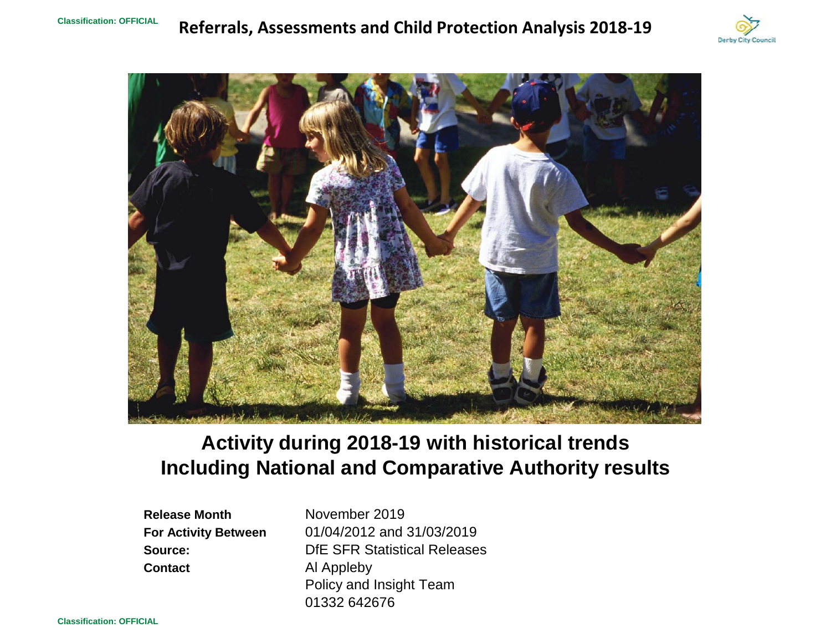# **Referrals, Assessments and Child Protection Analysis 2018‐19**





# **Including National and Comparative Authority results Activity during 2018-19 with historical trends**

**Release MonthContact**

**For Activity Between** 01/04/2012 and 31/03/2019 **Source:** DfE SFR Statistical Releases Al Appleby Policy and Insight Team 01332 642676November 2019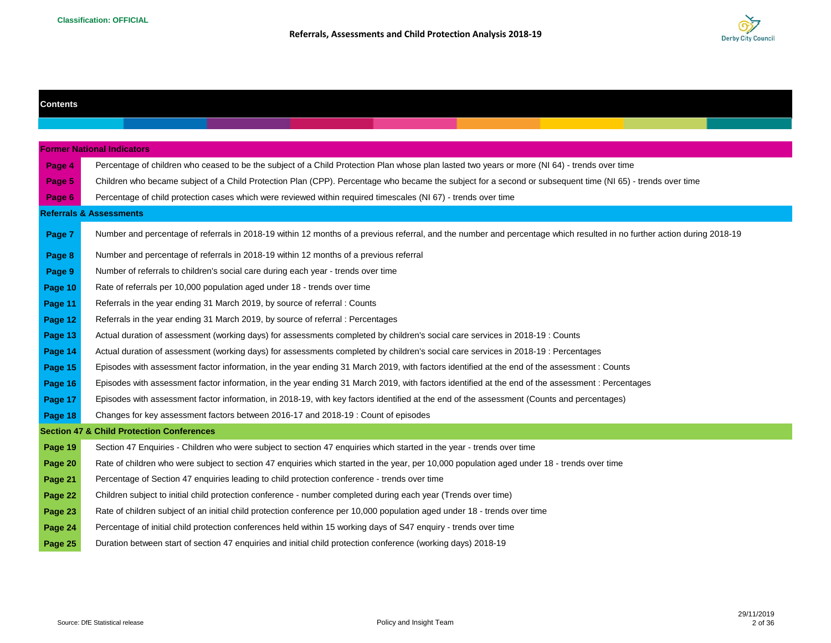

| <b>Contents</b> |                                                                                                                                                                         |
|-----------------|-------------------------------------------------------------------------------------------------------------------------------------------------------------------------|
|                 |                                                                                                                                                                         |
|                 |                                                                                                                                                                         |
|                 | <b>Former National Indicators</b>                                                                                                                                       |
| Page 4          | Percentage of children who ceased to be the subject of a Child Protection Plan whose plan lasted two years or more (NI 64) - trends over time                           |
| Page 5          | Children who became subject of a Child Protection Plan (CPP). Percentage who became the subject for a second or subsequent time (NI 65) - trends over time              |
| Page 6          | Percentage of child protection cases which were reviewed within required timescales (NI 67) - trends over time                                                          |
|                 | <b>Referrals &amp; Assessments</b>                                                                                                                                      |
| Page 7          | Number and percentage of referrals in 2018-19 within 12 months of a previous referral, and the number and percentage which resulted in no further action during 2018-19 |
| Page 8          | Number and percentage of referrals in 2018-19 within 12 months of a previous referral                                                                                   |
| Page 9          | Number of referrals to children's social care during each year - trends over time                                                                                       |
| Page 10         | Rate of referrals per 10,000 population aged under 18 - trends over time                                                                                                |
| Page 11         | Referrals in the year ending 31 March 2019, by source of referral : Counts                                                                                              |
| Page 12         | Referrals in the year ending 31 March 2019, by source of referral : Percentages                                                                                         |
| Page 13         | Actual duration of assessment (working days) for assessments completed by children's social care services in 2018-19 : Counts                                           |
| Page 14         | Actual duration of assessment (working days) for assessments completed by children's social care services in 2018-19 : Percentages                                      |
| Page 15         | Episodes with assessment factor information, in the year ending 31 March 2019, with factors identified at the end of the assessment : Counts                            |
| Page 16         | Episodes with assessment factor information, in the year ending 31 March 2019, with factors identified at the end of the assessment : Percentages                       |
| Page 17         | Episodes with assessment factor information, in 2018-19, with key factors identified at the end of the assessment (Counts and percentages)                              |
| Page 18         | Changes for key assessment factors between 2016-17 and 2018-19 : Count of episodes                                                                                      |
|                 | <b>Section 47 &amp; Child Protection Conferences</b>                                                                                                                    |
| Page 19         | Section 47 Enquiries - Children who were subject to section 47 enquiries which started in the year - trends over time                                                   |
| Page 20         | Rate of children who were subject to section 47 enquiries which started in the year, per 10,000 population aged under 18 - trends over time                             |
| Page 21         | Percentage of Section 47 enquiries leading to child protection conference - trends over time                                                                            |
| Page 22         | Children subject to initial child protection conference - number completed during each year (Trends over time)                                                          |
| Page 23         | Rate of children subject of an initial child protection conference per 10,000 population aged under 18 - trends over time                                               |
| Page 24         | Percentage of initial child protection conferences held within 15 working days of S47 enquiry - trends over time                                                        |
| Page 25         | Duration between start of section 47 enquiries and initial child protection conference (working days) 2018-19                                                           |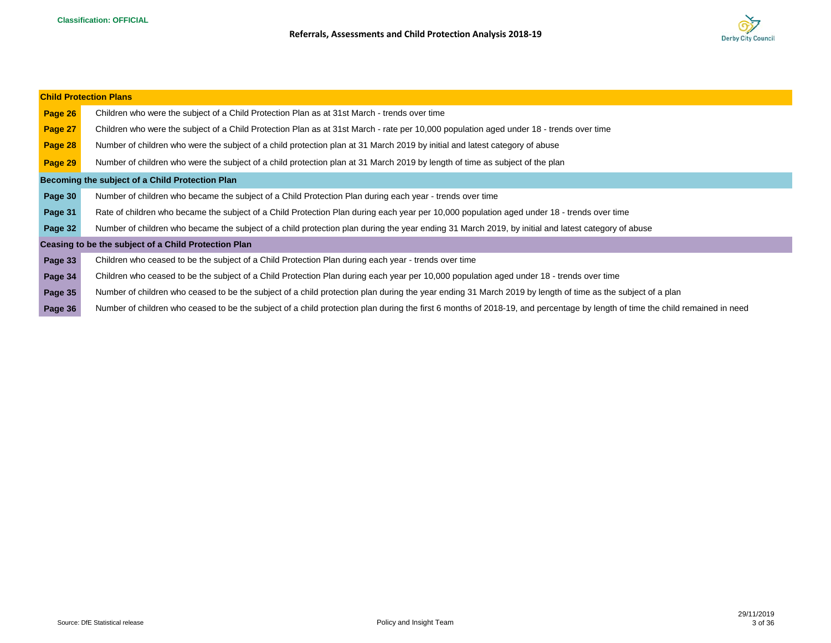

|         | <b>Child Protection Plans</b>                                                                                                                                                |
|---------|------------------------------------------------------------------------------------------------------------------------------------------------------------------------------|
| Page 26 | Children who were the subject of a Child Protection Plan as at 31st March - trends over time                                                                                 |
| Page 27 | Children who were the subject of a Child Protection Plan as at 31st March - rate per 10,000 population aged under 18 - trends over time                                      |
| Page 28 | Number of children who were the subject of a child protection plan at 31 March 2019 by initial and latest category of abuse                                                  |
| Page 29 | Number of children who were the subject of a child protection plan at 31 March 2019 by length of time as subject of the plan                                                 |
|         | Becoming the subject of a Child Protection Plan                                                                                                                              |
| Page 30 | Number of children who became the subject of a Child Protection Plan during each year - trends over time                                                                     |
| Page 31 | Rate of children who became the subject of a Child Protection Plan during each year per 10,000 population aged under 18 - trends over time                                   |
| Page 32 | Number of children who became the subject of a child protection plan during the year ending 31 March 2019, by initial and latest category of abuse                           |
|         | Ceasing to be the subject of a Child Protection Plan                                                                                                                         |
| Page 33 | Children who ceased to be the subject of a Child Protection Plan during each year - trends over time                                                                         |
| Page 34 | Children who ceased to be the subject of a Child Protection Plan during each year per 10,000 population aged under 18 - trends over time                                     |
| Page 35 | Number of children who ceased to be the subject of a child protection plan during the year ending 31 March 2019 by length of time as the subject of a plan                   |
| Page 36 | Number of children who ceased to be the subject of a child protection plan during the first 6 months of 2018-19, and percentage by length of time the child remained in need |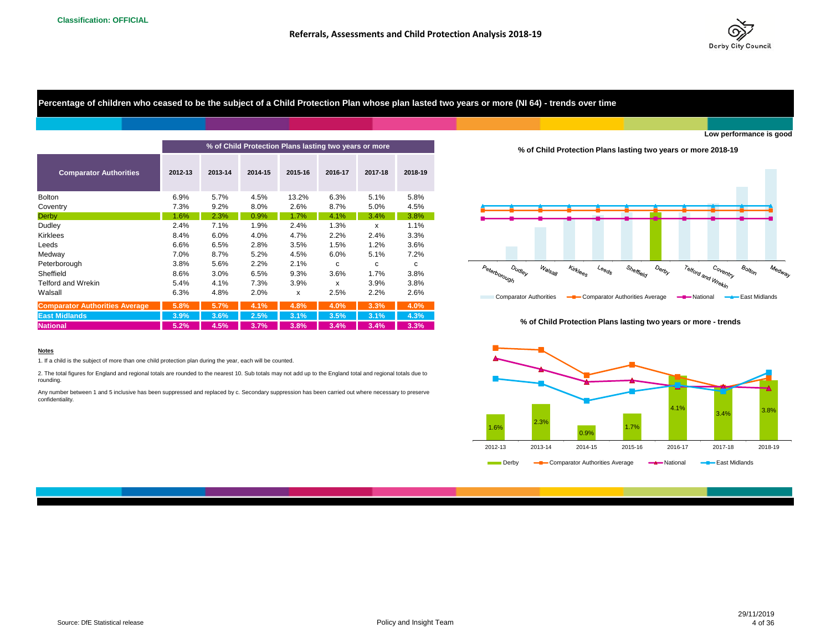

**Percentage of children who ceased to be the subject of a Child Protection Plan whose plan lasted two years or more (NI 64) - trends over time**

| % of Child Protection Plans lasting two years or more |         |         |         |         |         |         |         |  |  |  |
|-------------------------------------------------------|---------|---------|---------|---------|---------|---------|---------|--|--|--|
| <b>Comparator Authorities</b>                         | 2012-13 | 2013-14 | 2014-15 | 2015-16 | 2016-17 | 2017-18 | 2018-19 |  |  |  |
| <b>Bolton</b>                                         | 6.9%    | 5.7%    | 4.5%    | 13.2%   | 6.3%    | 5.1%    | 5.8%    |  |  |  |
| Coventry                                              | 7.3%    | 9.2%    | 8.0%    | 2.6%    | 8.7%    | 5.0%    | 4.5%    |  |  |  |
| Derby                                                 | 1.6%    | 2.3%    | 0.9%    | 1.7%    | 4.1%    | 3.4%    | 3.8%    |  |  |  |
| Dudley                                                | 2.4%    | 7.1%    | 1.9%    | 2.4%    | 1.3%    | X       | 1.1%    |  |  |  |
| Kirklees                                              | 8.4%    | 6.0%    | 4.0%    | 4.7%    | 2.2%    | 2.4%    | 3.3%    |  |  |  |
| Leeds                                                 | 6.6%    | 6.5%    | 2.8%    | 3.5%    | 1.5%    | 1.2%    | 3.6%    |  |  |  |
| Medway                                                | 7.0%    | 8.7%    | 5.2%    | 4.5%    | 6.0%    | 5.1%    | 7.2%    |  |  |  |
| Peterborough                                          | 3.8%    | 5.6%    | 2.2%    | 2.1%    | c       | с       | с       |  |  |  |
| Sheffield                                             | 8.6%    | 3.0%    | 6.5%    | 9.3%    | 3.6%    | 1.7%    | 3.8%    |  |  |  |
| <b>Telford and Wrekin</b>                             | 5.4%    | 4.1%    | 7.3%    | 3.9%    | X       | 3.9%    | 3.8%    |  |  |  |
| Walsall                                               | 6.3%    | 4.8%    | 2.0%    | x       | 2.5%    | 2.2%    | 2.6%    |  |  |  |
| <b>Comparator Authorities Average</b>                 | 5.8%    | 5.7%    | 4.1%    | 4.8%    | 4.0%    | 3.3%    | 4.0%    |  |  |  |
| <b>East Midlands</b>                                  | 3.9%    | 3.6%    | 2.5%    | 3.1%    | 3.5%    | 3.1%    | 4.3%    |  |  |  |
| <b>National</b>                                       | 5.2%    | 4.5%    | 3.7%    | 3.8%    | 3.4%    | 3.4%    | 3.3%    |  |  |  |
|                                                       |         |         |         |         |         |         |         |  |  |  |

#### **Notes**

1. If a child is the subject of more than one child protection plan during the year, each will be counted.

2. The total figures for England and regional totals are rounded to the nearest 10. Sub totals may not add up to the England total and regional totals due to rounding.

Any number between 1 and 5 inclusive has been suppressed and replaced by c. Secondary suppression has been carried out where necessary to preserve confidentiality.





#### **% of Child Protection Plans lasting two years or more - trends**

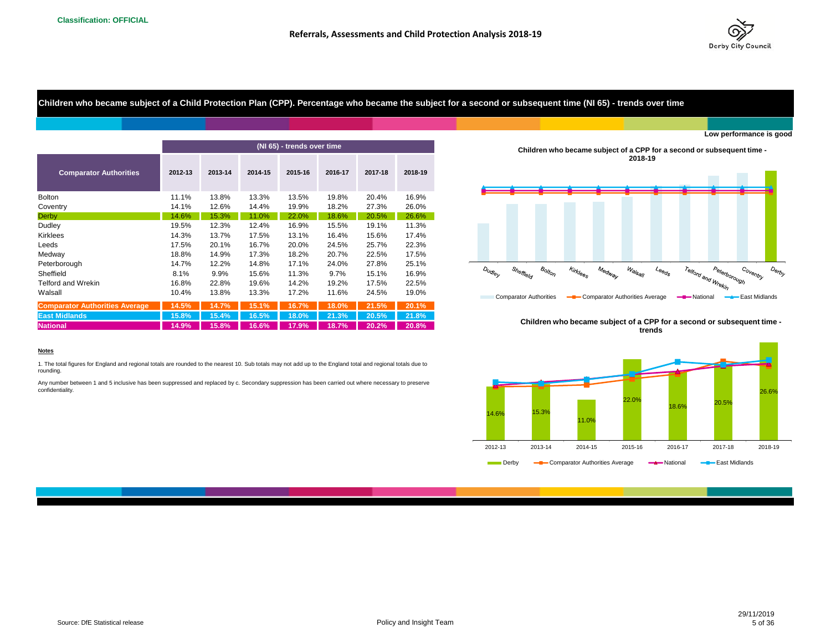

**Children who became subject of a Child Protection Plan (CPP). Percentage who became the subject for a second or subsequent time (NI 65) - trends over time**

|                                       |         |         |         |                            |         |         |         | LUW DELIUITIATIUS IS                                                                                                                                                                                                                                                                                |
|---------------------------------------|---------|---------|---------|----------------------------|---------|---------|---------|-----------------------------------------------------------------------------------------------------------------------------------------------------------------------------------------------------------------------------------------------------------------------------------------------------|
|                                       |         |         |         | (NI 65) - trends over time |         |         |         | Children who became subject of a CPP for a second or subsequent time -                                                                                                                                                                                                                              |
| <b>Comparator Authorities</b>         | 2012-13 | 2013-14 | 2014-15 | 2015-16                    | 2016-17 | 2017-18 | 2018-19 | 2018-19                                                                                                                                                                                                                                                                                             |
| <b>Bolton</b>                         | 11.1%   | 13.8%   | 13.3%   | 13.5%                      | 19.8%   | 20.4%   | 16.9%   |                                                                                                                                                                                                                                                                                                     |
| Coventry                              | 14.1%   | 12.6%   | 14.4%   | 19.9%                      | 18.2%   | 27.3%   | 26.0%   |                                                                                                                                                                                                                                                                                                     |
| <b>Derby</b>                          | 14.6%   | 15.3%   | 11.0%   | 22.0%                      | 18.6%   | 20.5%   | 26.6%   |                                                                                                                                                                                                                                                                                                     |
| Dudley                                | 19.5%   | 12.3%   | 12.4%   | 16.9%                      | 15.5%   | 19.1%   | 11.3%   |                                                                                                                                                                                                                                                                                                     |
| Kirklees                              | 14.3%   | 13.7%   | 17.5%   | 13.1%                      | 16.4%   | 15.6%   | 17.4%   |                                                                                                                                                                                                                                                                                                     |
| Leeds                                 | 17.5%   | 20.1%   | 16.7%   | 20.0%                      | 24.5%   | 25.7%   | 22.3%   |                                                                                                                                                                                                                                                                                                     |
| Medway                                | 18.8%   | 14.9%   | 17.3%   | 18.2%                      | 20.7%   | 22.5%   | 17.5%   |                                                                                                                                                                                                                                                                                                     |
| Peterborough                          | 14.7%   | 12.2%   | 14.8%   | 17.1%                      | 24.0%   | 27.8%   | 25.1%   |                                                                                                                                                                                                                                                                                                     |
| Sheffield                             | 8.1%    | 9.9%    | 15.6%   | 11.3%                      | 9.7%    | 15.1%   | 16.9%   | $B_{O/t_{O/\gamma}}$<br>Medway<br>$\mathcal{W}_{\widehat{\bm{a}}/\!\!/_{\mathbf{S}_{\widehat{\bm{a}}/\!\!/_{\mathbf{f}}}}}$<br>Peterborough<br>D <sub>Udley</sub><br>Sheffield<br>Kirklees<br>Co <sub>ventry</sub><br>D <sub>6</sub><br>$\iota_{\mathsf{e}_{\mathsf{e}_{\mathsf{Q}_{\mathsf{S}}}}}$ |
| Telford and Wrekin                    | 16.8%   | 22.8%   | 19.6%   | 14.2%                      | 19.2%   | 17.5%   | 22.5%   | Telford and Wrekin                                                                                                                                                                                                                                                                                  |
| Walsall                               | 10.4%   | 13.8%   | 13.3%   | 17.2%                      | 11.6%   | 24.5%   | 19.0%   | East Midlands<br><b>Comparator Authorities</b><br><b>-8</b> Comparator Authorities Average<br>-Mational                                                                                                                                                                                             |
| <b>Comparator Authorities Average</b> | 14.5%   | 14.7%   | 15.1%   | 16.7%                      | 18.0%   | 21.5%   | 20.1%   |                                                                                                                                                                                                                                                                                                     |
| <b>East Midlands</b>                  | 15.8%   | 15.4%   | 16.5%   | 18.0%                      | 21.3%   | 20.5%   | 21.8%   |                                                                                                                                                                                                                                                                                                     |
| <b>National</b>                       | 14.9%   | 15.8%   | 16.6%   | 17.9%                      | 18.7%   | 20.2%   | 20.8%   | Children who became subject of a CPP for a second or subsequent time<br>trends                                                                                                                                                                                                                      |

**Children who became subject of a CPP for a second or subsequent time - 2018-19**



**Children who became subject of a CPP for a second or subsequent time trends**



#### **Notes**

1. The total figures for England and regional totals are rounded to the nearest 10. Sub totals may not add up to the England total and regional totals due to rounding.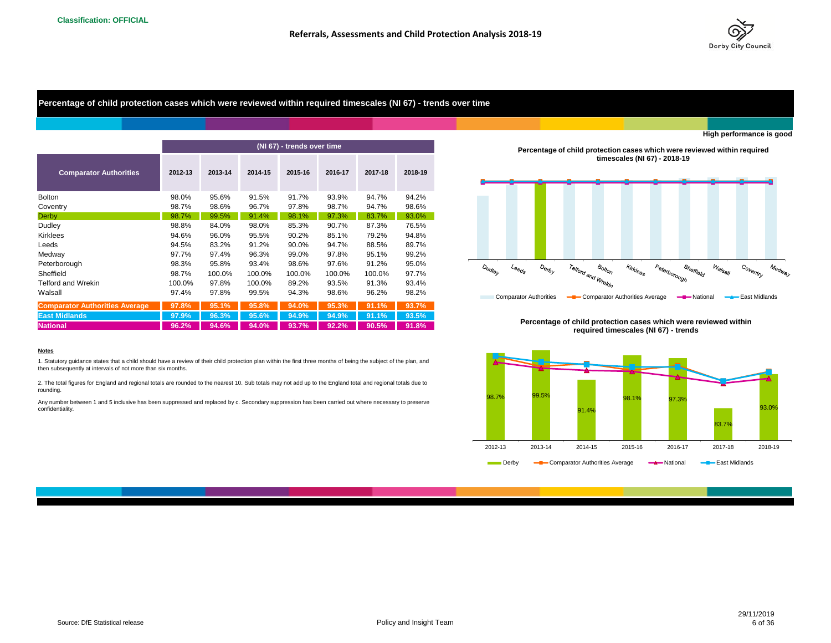

**High performance is good**

**Percentage of child protection cases which were reviewed within required timescales (NI 67) - trends over time**

|                                       |         |         |         | (NI 67) - trends over time |         |         |         |
|---------------------------------------|---------|---------|---------|----------------------------|---------|---------|---------|
| <b>Comparator Authorities</b>         | 2012-13 | 2013-14 | 2014-15 | 2015-16                    | 2016-17 | 2017-18 | 2018-19 |
| <b>Bolton</b>                         | 98.0%   | 95.6%   | 91.5%   | 91.7%                      | 93.9%   | 94.7%   | 94.2%   |
| Coventry                              | 98.7%   | 98.6%   | 96.7%   | 97.8%                      | 98.7%   | 94.7%   | 98.6%   |
| <b>Derby</b>                          | 98.7%   | 99.5%   | 91.4%   | 98.1%                      | 97.3%   | 83.7%   | 93.0%   |
| Dudley                                | 98.8%   | 84.0%   | 98.0%   | 85.3%                      | 90.7%   | 87.3%   | 76.5%   |
| Kirklees                              | 94.6%   | 96.0%   | 95.5%   | 90.2%                      | 85.1%   | 79.2%   | 94.8%   |
| Leeds                                 | 94.5%   | 83.2%   | 91.2%   | 90.0%                      | 94.7%   | 88.5%   | 89.7%   |
| Medway                                | 97.7%   | 97.4%   | 96.3%   | 99.0%                      | 97.8%   | 95.1%   | 99.2%   |
| Peterborough                          | 98.3%   | 95.8%   | 93.4%   | 98.6%                      | 97.6%   | 91.2%   | 95.0%   |
| Sheffield                             | 98.7%   | 100.0%  | 100.0%  | 100.0%                     | 100.0%  | 100.0%  | 97.7%   |
| Telford and Wrekin                    | 100.0%  | 97.8%   | 100.0%  | 89.2%                      | 93.5%   | 91.3%   | 93.4%   |
| Walsall                               | 97.4%   | 97.8%   | 99.5%   | 94.3%                      | 98.6%   | 96.2%   | 98.2%   |
| <b>Comparator Authorities Average</b> | 97.8%   | 95.1%   | 95.8%   | 94.0%                      | 95.3%   | 91.1%   | 93.7%   |
| <b>East Midlands</b>                  | 97.9%   | 96.3%   | 95.6%   | 94.9%                      | 94.9%   | 91.1%   | 93.5%   |
| <b>National</b>                       | 96.2%   | 94.6%   | 94.0%   | 93.7%                      | 92.2%   | 90.5%   | 91.8%   |

## **Percentage of child protection cases which were reviewed within required timescales (NI 67) - 2018-19**



**Percentage of child protection cases which were reviewed within required timescales (NI 67) - trends**



#### **Notes**

1. Statutory guidance states that a child should have a review of their child protection plan within the first three months of being the subject of the plan, and then subsequently at intervals of not more than six months.

2. The total figures for England and regional totals are rounded to the nearest 10. Sub totals may not add up to the England total and regional totals due to rounding.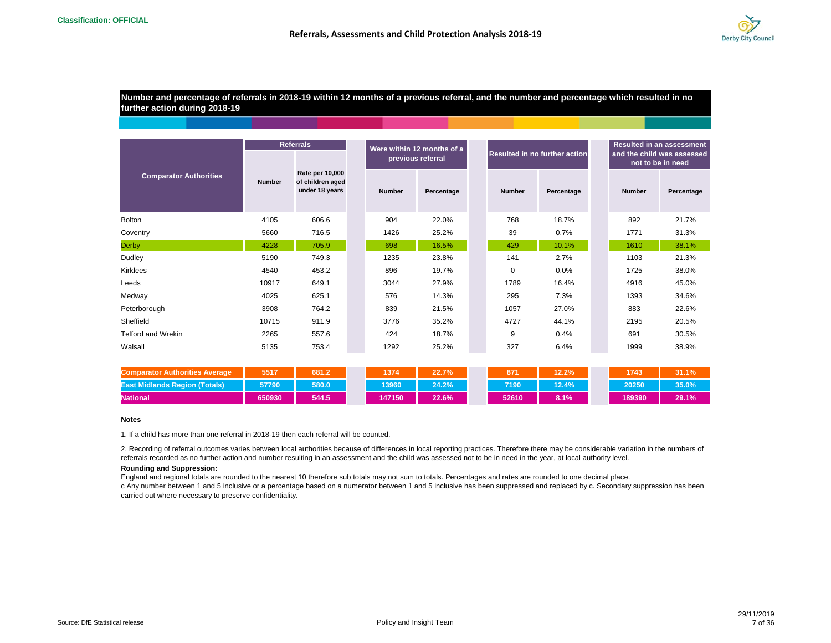

**Number and percentage of referrals in 2018-19 within 12 months of a previous referral, and the number and percentage which resulted in no further action during 2018-19**

|                               | <b>Referrals</b> |                                                              |  |                   | Were within 12 months of a |  |                               |            |  | <b>Resulted in an assessment</b><br>and the child was assessed |                   |  |
|-------------------------------|------------------|--------------------------------------------------------------|--|-------------------|----------------------------|--|-------------------------------|------------|--|----------------------------------------------------------------|-------------------|--|
|                               |                  |                                                              |  | previous referral |                            |  | Resulted in no further action |            |  |                                                                | not to be in need |  |
| <b>Comparator Authorities</b> | <b>Number</b>    | <b>Rate per 10,000</b><br>of children aged<br>under 18 years |  | <b>Number</b>     | Percentage                 |  | <b>Number</b>                 | Percentage |  | <b>Number</b>                                                  | Percentage        |  |
| <b>Bolton</b>                 | 4105             | 606.6                                                        |  | 904               | 22.0%                      |  | 768                           | 18.7%      |  | 892                                                            | 21.7%             |  |
| Coventry                      | 716.5<br>5660    |                                                              |  | 1426              | 25.2%                      |  | 39                            | 0.7%       |  | 1771                                                           | 31.3%             |  |
| <b>Derby</b>                  | 4228             | 705.9                                                        |  | 698               | 16.5%                      |  | 429                           | 10.1%      |  | 1610                                                           | 38.1%             |  |
| Dudley                        | 5190             | 749.3                                                        |  | 1235              | 23.8%                      |  | 141                           | 2.7%       |  | 1103                                                           | 21.3%             |  |
| Kirklees                      | 4540             | 453.2                                                        |  | 896               | 19.7%                      |  | $\mathbf 0$                   | 0.0%       |  | 1725                                                           | 38.0%             |  |
| Leeds                         | 10917            | 649.1                                                        |  | 3044              | 27.9%                      |  | 1789                          | 16.4%      |  | 4916                                                           | 45.0%             |  |
| Medway                        | 4025             | 625.1                                                        |  | 576               | 14.3%                      |  | 295                           | 7.3%       |  | 1393                                                           | 34.6%             |  |
| Peterborough                  | 3908             | 764.2                                                        |  | 839               | 21.5%                      |  | 1057                          | 27.0%      |  | 883                                                            | 22.6%             |  |
| Sheffield                     | 10715            | 911.9                                                        |  | 3776              | 35.2%                      |  | 4727                          | 44.1%      |  | 2195                                                           | 20.5%             |  |
| <b>Telford and Wrekin</b>     | 2265             | 557.6                                                        |  | 424               | 18.7%                      |  | 9                             | 0.4%       |  | 691                                                            | 30.5%             |  |
| Walsall                       | 5135             | 753.4                                                        |  | 1292              | 25.2%                      |  | 327                           | 6.4%       |  | 1999                                                           | 38.9%             |  |

| <b>Authorities Average</b>             | 5517   | 681.2 | 1374   | 22.7% | 871   | 12.2% | 1743'  | 31.1% |
|----------------------------------------|--------|-------|--------|-------|-------|-------|--------|-------|
| <b>Nands Region (Totals)</b><br>East N | 57790  | 580.0 | 13960  | 24.2% | 7190  | 12.4% | 20250  | 35.0% |
| <b>National</b>                        | 650930 | 544.5 | 147150 | 22.6% | 52610 | 8.1%  | 189390 | 29.1% |

#### **Notes**

1. If a child has more than one referral in 2018-19 then each referral will be counted.

2. Recording of referral outcomes varies between local authorities because of differences in local reporting practices. Therefore there may be considerable variation in the numbers of referrals recorded as no further action and number resulting in an assessment and the child was assessed not to be in need in the year, at local authority level.

#### **Rounding and Suppression:**

England and regional totals are rounded to the nearest 10 therefore sub totals may not sum to totals. Percentages and rates are rounded to one decimal place. c Any number between 1 and 5 inclusive or a percentage based on a numerator between 1 and 5 inclusive has been suppressed and replaced by c. Secondary suppression has been carried out where necessary to preserve confidentiality.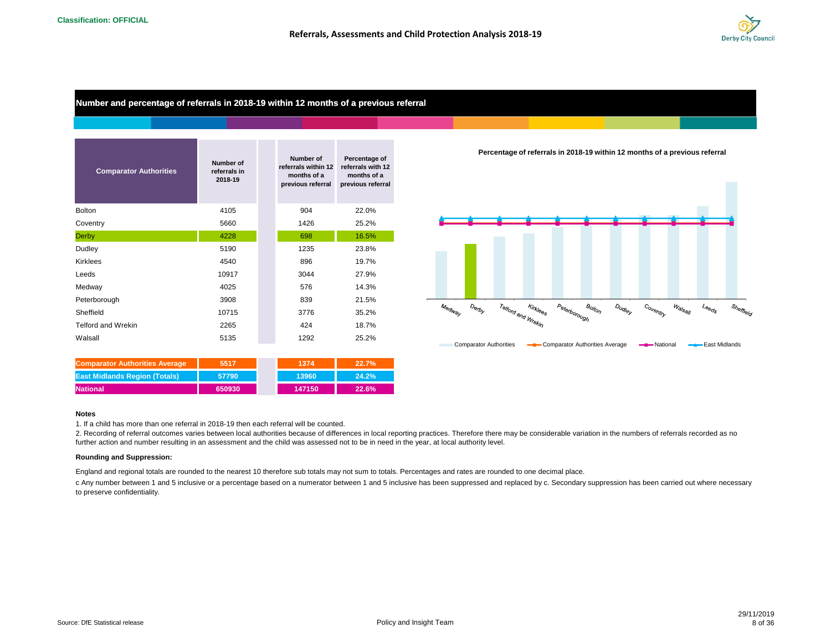

**Number and percentage of referrals in 2018-19 within 12 months of a previous referral**

| <b>Comparator Authorities</b> | Number of<br>referrals in<br>2018-19 | Number of<br>referrals within 12<br>months of a<br>previous referral | Percentage of<br>referrals with 12<br>months of a<br>previous referral |
|-------------------------------|--------------------------------------|----------------------------------------------------------------------|------------------------------------------------------------------------|
| <b>Bolton</b>                 | 4105                                 | 904                                                                  | 22.0%                                                                  |
| Coventry                      | 5660                                 | 1426                                                                 | 25.2%                                                                  |
| Derby                         | 4228                                 | 698                                                                  | 16.5%                                                                  |
| Dudley                        | 5190                                 | 1235                                                                 | 23.8%                                                                  |
| Kirklees                      | 4540                                 | 896                                                                  | 19.7%                                                                  |
| Leeds                         | 10917                                | 3044                                                                 | 27.9%                                                                  |
| Medway                        | 4025                                 | 576                                                                  | 14.3%                                                                  |
| Peterborough                  | 3908                                 | 839                                                                  | 21.5%                                                                  |
| Sheffield                     | 10715                                | 3776                                                                 | 35.2%                                                                  |
| <b>Telford and Wrekin</b>     | 2265                                 | 424                                                                  | 18.7%                                                                  |
| Walsall                       | 5135                                 | 1292                                                                 | 25.2%                                                                  |

| <b>Comparator Authorities Average</b> | 5517   | 1374   | 22.7% |
|---------------------------------------|--------|--------|-------|
| <b>East Midlands Region (Totals)</b>  | 57790  | 13960  | 24.2% |
| <b>National</b>                       | 650930 | 147150 | 22.6% |

#### **Notes**

1. If a child has more than one referral in 2018-19 then each referral will be counted.

2. Recording of referral outcomes varies between local authorities because of differences in local reporting practices. Therefore there may be considerable variation in the numbers of referrals recorded as no further action and number resulting in an assessment and the child was assessed not to be in need in the year, at local authority level.

#### **Rounding and Suppression:**

England and regional totals are rounded to the nearest 10 therefore sub totals may not sum to totals. Percentages and rates are rounded to one decimal place.

c Any number between 1 and 5 inclusive or a percentage based on a numerator between 1 and 5 inclusive has been suppressed and replaced by c. Secondary suppression has been carried out where necessary to preserve confidentiality.



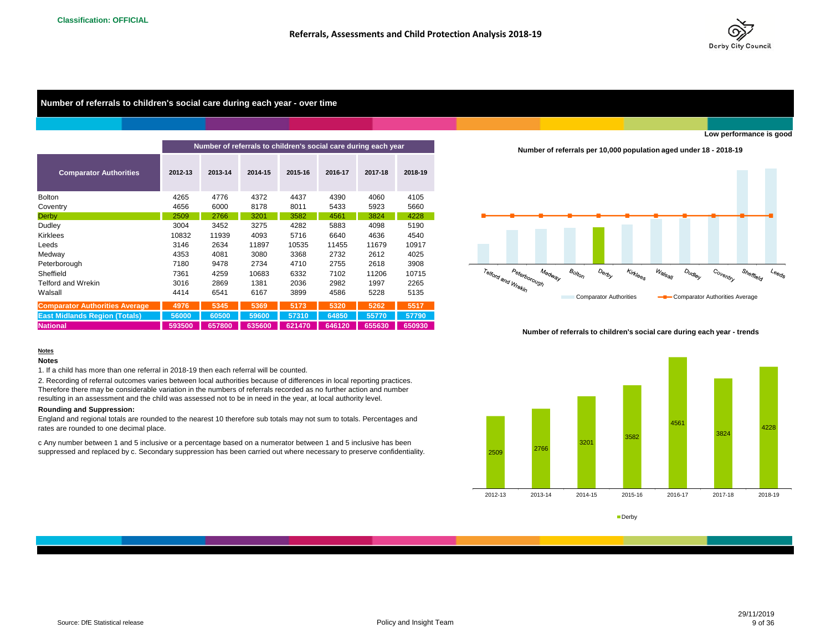

#### **Number of referrals to children's social care during each year - over time**

|                                       |         |         | Number of referrals to children's social care during each year |         |         |         |         |
|---------------------------------------|---------|---------|----------------------------------------------------------------|---------|---------|---------|---------|
| <b>Comparator Authorities</b>         | 2012-13 | 2013-14 | 2014-15                                                        | 2015-16 | 2016-17 | 2017-18 | 2018-19 |
| <b>Bolton</b>                         | 4265    | 4776    | 4372                                                           | 4437    | 4390    | 4060    | 4105    |
| Coventry                              | 4656    | 6000    | 8178                                                           | 8011    | 5433    | 5923    | 5660    |
| Derby                                 | 2509    | 2766    | 3201                                                           | 3582    | 4561    | 3824    | 4228    |
| Dudley                                | 3004    | 3452    | 3275                                                           | 4282    | 5883    | 4098    | 5190    |
| Kirklees                              | 10832   | 11939   | 4093                                                           | 5716    | 6640    | 4636    | 4540    |
| Leeds                                 | 3146    | 2634    | 11897                                                          | 10535   | 11455   | 11679   | 10917   |
| Medway                                | 4353    | 4081    | 3080                                                           | 3368    | 2732    | 2612    | 4025    |
| Peterborough                          | 7180    | 9478    | 2734                                                           | 4710    | 2755    | 2618    | 3908    |
| Sheffield                             | 7361    | 4259    | 10683                                                          | 6332    | 7102    | 11206   | 10715   |
| <b>Telford and Wrekin</b>             | 3016    | 2869    | 1381                                                           | 2036    | 2982    | 1997    | 2265    |
| Walsall                               | 4414    | 6541    | 6167                                                           | 3899    | 4586    | 5228    | 5135    |
| <b>Comparator Authorities Average</b> | 4976    | 5345    | 5369                                                           | 5173    | 5320    | 5262    | 5517    |
| <b>East Midlands Region (Totals)</b>  | 56000   | 60500   | 59600                                                          | 57310   | 64850   | 55770   | 57790   |
| <b>National</b>                       | 593500  | 657800  | 635600                                                         | 621470  | 646120  | 655630  | 650930  |

#### **Notes Notes**

1. If a child has more than one referral in 2018-19 then each referral will be counted.

2. Recording of referral outcomes varies between local authorities because of differences in local reporting practices. Therefore there may be considerable variation in the numbers of referrals recorded as no further action and number resulting in an assessment and the child was assessed not to be in need in the year, at local authority level.

#### **Rounding and Suppression:**

England and regional totals are rounded to the nearest 10 therefore sub totals may not sum to totals. Percentages and rates are rounded to one decimal place.

c Any number between 1 and 5 inclusive or a percentage based on a numerator between 1 and 5 inclusive has been suppressed and replaced by c. Secondary suppression has been carried out where necessary to preserve confidentiality.

**Number of referrals per 10,000 population aged under 18 - 2018-19**



#### **Number of referrals to children's social care during each year - trends**



#### **Derby**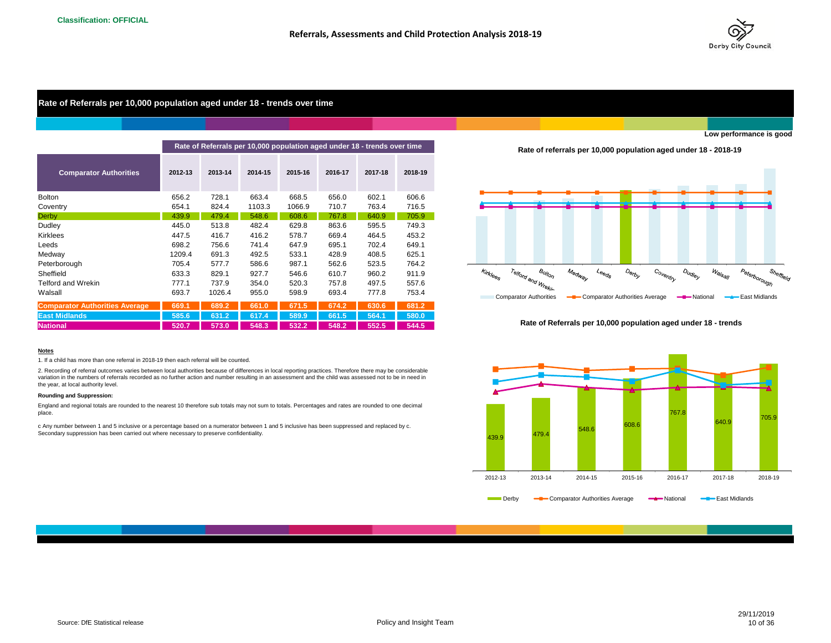

## **Rate of Referrals per 10,000 population aged under 18 - trends over time**

|                                       |         |         |         |         | Rate of Referrals per 10,000 population aged under 18 - trends over time |         |         |
|---------------------------------------|---------|---------|---------|---------|--------------------------------------------------------------------------|---------|---------|
| <b>Comparator Authorities</b>         | 2012-13 | 2013-14 | 2014-15 | 2015-16 | 2016-17                                                                  | 2017-18 | 2018-19 |
| <b>Bolton</b>                         | 656.2   | 728.1   | 663.4   | 668.5   | 656.0                                                                    | 602.1   | 606.6   |
| Coventry                              | 654.1   | 824.4   | 1103.3  | 1066.9  | 710.7                                                                    | 763.4   | 716.5   |
| <b>Derby</b>                          | 439.9   | 479.4   | 548.6   | 608.6   | 767.8                                                                    | 640.9   | 705.9   |
| Dudley                                | 445.0   | 513.8   | 482.4   | 629.8   | 863.6                                                                    | 595.5   | 749.3   |
| <b>Kirklees</b>                       | 447.5   | 416.7   | 416.2   | 578.7   | 669.4                                                                    | 464.5   | 453.2   |
| Leeds                                 | 698.2   | 756.6   | 741.4   | 647.9   | 695.1                                                                    | 702.4   | 649.1   |
| Medway                                | 1209.4  | 691.3   | 492.5   | 533.1   | 428.9                                                                    | 408.5   | 625.1   |
| Peterborough                          | 705.4   | 577.7   | 586.6   | 987.1   | 562.6                                                                    | 523.5   | 764.2   |
| Sheffield                             | 633.3   | 829.1   | 927.7   | 546.6   | 610.7                                                                    | 960.2   | 911.9   |
| <b>Telford and Wrekin</b>             | 777.1   | 737.9   | 354.0   | 520.3   | 757.8                                                                    | 497.5   | 557.6   |
| Walsall                               | 693.7   | 1026.4  | 955.0   | 598.9   | 693.4                                                                    | 777.8   | 753.4   |
| <b>Comparator Authorities Average</b> | 669.1   | 689.2   | 661.0   | 671.5   | 674.2                                                                    | 630.6   | 681.2   |
| <b>East Midlands</b>                  | 585.6   | 631.2   | 617.4   | 589.9   | 661.5                                                                    | 564.1   | 580.0   |
| <b>National</b>                       | 520.7   | 573.0   | 548.3   | 532.2   | 548.2                                                                    | 552.5   | 544.5   |

#### **Notes**

1. If a child has more than one referral in 2018-19 then each referral will be counted.

2. Recording of referral outcomes varies between local authorities because of differences in local reporting practices. Therefore there may be considerable variation in the numbers of referrals recorded as no further action and number resulting in an assessment and the child was assessed not to be in need in the year, at local authority level.

#### **Rounding and Suppression:**

England and regional totals are rounded to the nearest 10 therefore sub totals may not sum to totals. Percentages and rates are rounded to one decimal place.

c Any number between 1 and 5 inclusive or a percentage based on a numerator between 1 and 5 inclusive has been suppressed and replaced by c. Secondary suppression has been carried out where necessary to preserve confidentiality.

**Rate of referrals per 10,000 population aged under 18 - 2018-19**



#### **Rate of Referrals per 10,000 population aged under 18 - trends**

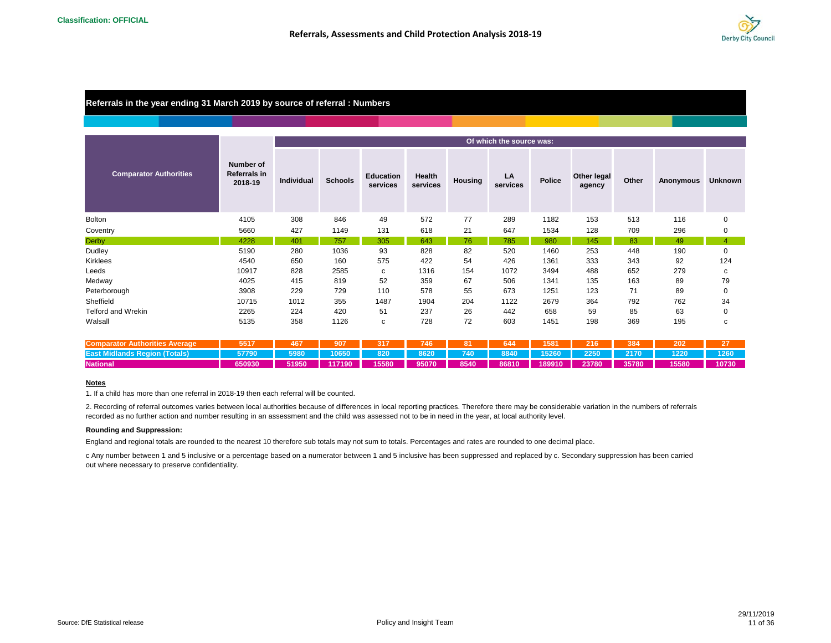

## **Referrals in the year ending 31 March 2019 by source of referral : Numbers**

|                                       |                                                    | Of which the source was: |                |                              |                    |                |                |               |                              |       |           |                |  |  |
|---------------------------------------|----------------------------------------------------|--------------------------|----------------|------------------------------|--------------------|----------------|----------------|---------------|------------------------------|-------|-----------|----------------|--|--|
| <b>Comparator Authorities</b>         | <b>Number of</b><br><b>Referrals in</b><br>2018-19 | Individual               | <b>Schools</b> | <b>Education</b><br>services | Health<br>services | <b>Housing</b> | LA<br>services | <b>Police</b> | <b>Other legal</b><br>agency | Other | Anonymous | <b>Unknown</b> |  |  |
| <b>Bolton</b>                         | 4105                                               | 308                      | 846            | 49                           | 572                | 77             | 289            | 1182          | 153                          | 513   | 116       | 0              |  |  |
| Coventry                              | 5660                                               | 427                      | 1149           | 131                          | 618                | 21             | 647            | 1534          | 128                          | 709   | 296       | 0              |  |  |
| <b>Derby</b>                          | 4228                                               | 401                      | 757            | 305                          | 643                | 76             | 785            | 980           | 145                          | 83    | 49        | 4              |  |  |
| Dudley                                | 5190                                               | 280                      | 1036           | 93                           | 828                | 82             | 520            | 1460          | 253                          | 448   | 190       | 0              |  |  |
| Kirklees                              | 4540                                               | 650                      | 160            | 575                          | 422                | 54             | 426            | 1361          | 333                          | 343   | 92        | 124            |  |  |
| Leeds                                 | 10917                                              | 828                      | 2585           | C                            | 1316               | 154            | 1072           | 3494          | 488                          | 652   | 279       | с              |  |  |
| Medway                                | 4025                                               | 415                      | 819            | 52                           | 359                | 67             | 506            | 1341          | 135                          | 163   | 89        | 79             |  |  |
| Peterborough                          | 3908                                               | 229                      | 729            | 110                          | 578                | 55             | 673            | 1251          | 123                          | 71    | 89        | 0              |  |  |
| Sheffield                             | 10715                                              | 1012                     | 355            | 1487                         | 1904               | 204            | 1122           | 2679          | 364                          | 792   | 762       | 34             |  |  |
| <b>Telford and Wrekin</b>             | 2265                                               | 224                      | 420            | 51                           | 237                | 26             | 442            | 658           | 59                           | 85    | 63        | 0              |  |  |
| Walsall                               | 5135                                               | 358                      | 1126           | с                            | 728                | 72             | 603            | 1451          | 198                          | 369   | 195       | c              |  |  |
| <b>Comparator Authorities Average</b> | 5517                                               | 467                      | 907            | 317                          | 746                | 81             | 644            | 1581          | 216                          | 384   | 202       | 27             |  |  |
| <b>East Midlands Region (Totals)</b>  | 57790                                              | 5980                     | 10650          | 820                          | 8620               | 740            | 8840           | 15260         | 2250                         | 2170  | 1220      | 1260           |  |  |
| <b>National</b>                       | 650930                                             | 51950                    | 117190         | 15580                        | 95070              | 8540           | 86810          | 189910        | 23780                        | 35780 | 15580     | 10730          |  |  |

#### **Notes**

1. If a child has more than one referral in 2018-19 then each referral will be counted.

2. Recording of referral outcomes varies between local authorities because of differences in local reporting practices. Therefore there may be considerable variation in the numbers of referrals recorded as no further action and number resulting in an assessment and the child was assessed not to be in need in the year, at local authority level.

#### **Rounding and Suppression:**

England and regional totals are rounded to the nearest 10 therefore sub totals may not sum to totals. Percentages and rates are rounded to one decimal place.

c Any number between 1 and 5 inclusive or a percentage based on a numerator between 1 and 5 inclusive has been suppressed and replaced by c. Secondary suppression has been carried out where necessary to preserve confidentiality.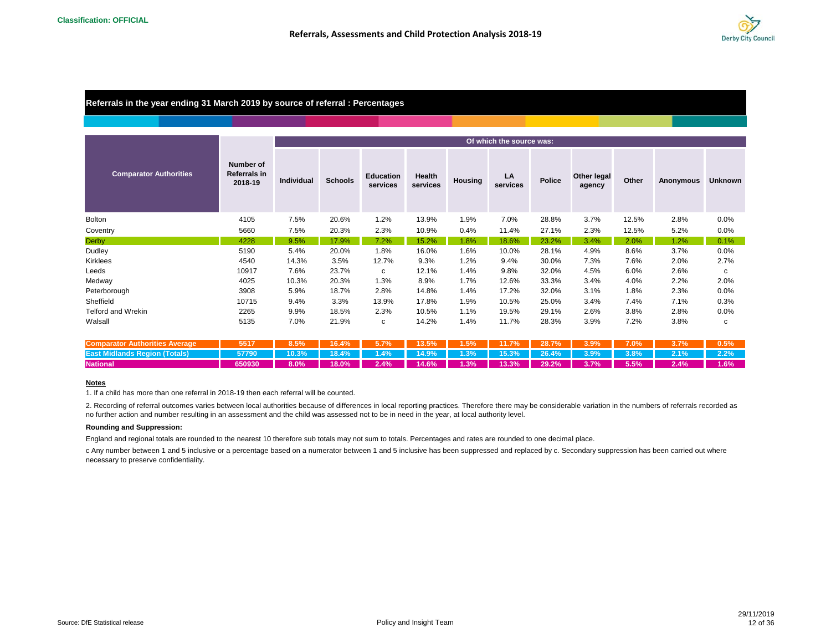

## **Referrals in the year ending 31 March 2019 by source of referral : Percentages**

|                                       |                                                    |                   |                |                              |                    |                | Of which the source was: |               |                              |       |           |                |
|---------------------------------------|----------------------------------------------------|-------------------|----------------|------------------------------|--------------------|----------------|--------------------------|---------------|------------------------------|-------|-----------|----------------|
| <b>Comparator Authorities</b>         | <b>Number of</b><br><b>Referrals in</b><br>2018-19 | <b>Individual</b> | <b>Schools</b> | <b>Education</b><br>services | Health<br>services | <b>Housing</b> | LA<br>services           | <b>Police</b> | <b>Other legal</b><br>agency | Other | Anonymous | <b>Unknown</b> |
| <b>Bolton</b>                         | 4105                                               | 7.5%              | 20.6%          | 1.2%                         | 13.9%              | 1.9%           | 7.0%                     | 28.8%         | 3.7%                         | 12.5% | 2.8%      | 0.0%           |
| Coventry                              | 5660                                               | 7.5%              | 20.3%          | 2.3%                         | 10.9%              | 0.4%           | 11.4%                    | 27.1%         | 2.3%                         | 12.5% | 5.2%      | 0.0%           |
| <b>Derby</b>                          | 4228                                               | 9.5%              | 17.9%          | 7.2%                         | 15.2%              | 1.8%           | 18.6%                    | 23.2%         | 3.4%                         | 2.0%  | 1.2%      | 0.1%           |
| Dudley                                | 5190                                               | 5.4%              | 20.0%          | 1.8%                         | 16.0%              | 1.6%           | 10.0%                    | 28.1%         | 4.9%                         | 8.6%  | 3.7%      | 0.0%           |
| <b>Kirklees</b>                       | 4540                                               | 14.3%             | 3.5%           | 12.7%                        | 9.3%               | 1.2%           | 9.4%                     | 30.0%         | 7.3%                         | 7.6%  | 2.0%      | 2.7%           |
| Leeds                                 | 10917                                              | 7.6%              | 23.7%          | C                            | 12.1%              | 1.4%           | 9.8%                     | 32.0%         | 4.5%                         | 6.0%  | 2.6%      | c              |
| Medway                                | 4025                                               | 10.3%             | 20.3%          | 1.3%                         | 8.9%               | 1.7%           | 12.6%                    | 33.3%         | 3.4%                         | 4.0%  | 2.2%      | 2.0%           |
| Peterborough                          | 3908                                               | 5.9%              | 18.7%          | 2.8%                         | 14.8%              | 1.4%           | 17.2%                    | 32.0%         | 3.1%                         | 1.8%  | 2.3%      | 0.0%           |
| Sheffield                             | 10715                                              | 9.4%              | 3.3%           | 13.9%                        | 17.8%              | 1.9%           | 10.5%                    | 25.0%         | 3.4%                         | 7.4%  | 7.1%      | 0.3%           |
| <b>Telford and Wrekin</b>             | 2265                                               | 9.9%              | 18.5%          | 2.3%                         | 10.5%              | 1.1%           | 19.5%                    | 29.1%         | 2.6%                         | 3.8%  | 2.8%      | 0.0%           |
| Walsall                               | 5135                                               | 7.0%              | 21.9%          | c                            | 14.2%              | 1.4%           | 11.7%                    | 28.3%         | 3.9%                         | 7.2%  | 3.8%      | с              |
| <b>Comparator Authorities Average</b> | 5517                                               | 8.5%              | 16.4%          | 5.7%                         | 13.5%              | 1.5%           | 11.7%                    | 28.7%         | 3.9%                         | 7.0%  | 3.7%      | 0.5%           |
| <b>East Midlands Region (Totals)</b>  | 57790                                              | 10.3%             | 18.4%          | 1.4%                         | 14.9%              | 1.3%           | 15.3%                    | 26.4%         | 3.9%                         | 3.8%  | 2.1%      | 2.2%           |

#### **Notes**

1. If a child has more than one referral in 2018-19 then each referral will be counted.

2. Recording of referral outcomes varies between local authorities because of differences in local reporting practices. Therefore there may be considerable variation in the numbers of referrals recorded as no further action and number resulting in an assessment and the child was assessed not to be in need in the year, at local authority level.

National | 650930 | 8.0% | 18.0% | 2.4% | 14.6% | 1.3% | 2.2% | 3.7% | 5.5% | 2.4% | 1.6%

#### **Rounding and Suppression:**

England and regional totals are rounded to the nearest 10 therefore sub totals may not sum to totals. Percentages and rates are rounded to one decimal place.

c Any number between 1 and 5 inclusive or a percentage based on a numerator between 1 and 5 inclusive has been suppressed and replaced by c. Secondary suppression has been carried out where necessary to preserve confidentiality.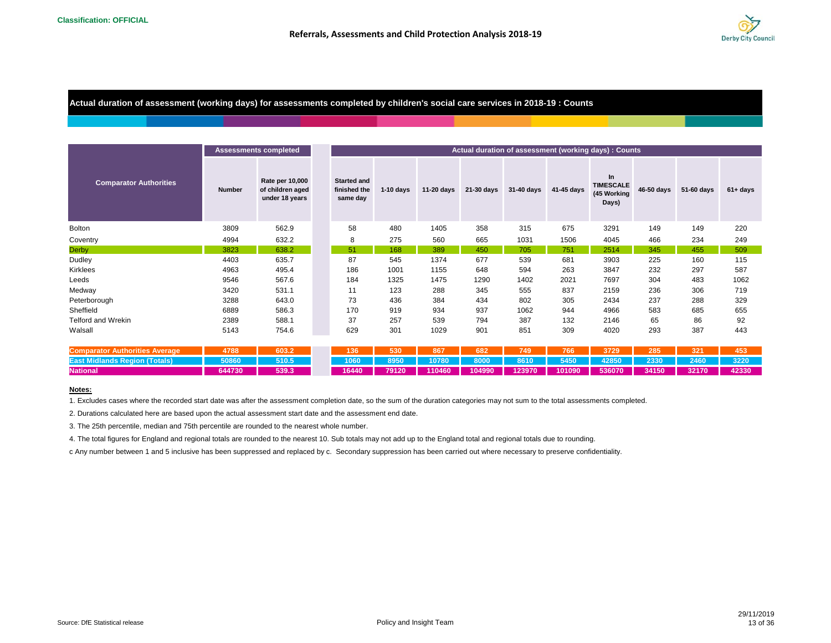

**Actual duration of assessment (working days) for assessments completed by children's social care services in 2018-19 : Counts**

|                                       |               | <b>Assessments completed</b>                          |                                                |             |              |            |            |              | Actual duration of assessment (working days) : Counts |            |            |             |
|---------------------------------------|---------------|-------------------------------------------------------|------------------------------------------------|-------------|--------------|------------|------------|--------------|-------------------------------------------------------|------------|------------|-------------|
| <b>Comparator Authorities</b>         | <b>Number</b> | Rate per 10,000<br>of children aged<br>under 18 years | <b>Started and</b><br>finished the<br>same day | $1-10$ days | $11-20$ days | 21-30 days | 31-40 days | $41-45$ days | In<br><b>TIMESCALE</b><br>(45 Working<br>Days)        | 46-50 days | 51-60 days | $61 + days$ |
| <b>Bolton</b>                         | 3809          | 562.9                                                 | 58                                             | 480         | 1405         | 358        | 315        | 675          | 3291                                                  | 149        | 149        | 220         |
| Coventry                              | 4994          | 632.2                                                 | 8                                              | 275         | 560          | 665        | 1031       | 1506         | 4045                                                  | 466        | 234        | 249         |
| <b>Derby</b>                          | 3823          | 638.2                                                 | 51                                             | 168         | 389          | 450        | 705        | 751          | 2514                                                  | 345        | 455        | 509         |
| Dudley                                | 4403          | 635.7                                                 | 87                                             | 545         | 1374         | 677        | 539        | 681          | 3903                                                  | 225        | 160        | 115         |
| Kirklees                              | 4963          | 495.4                                                 | 186                                            | 1001        | 1155         | 648        | 594        | 263          | 3847                                                  | 232        | 297        | 587         |
| Leeds                                 | 9546          | 567.6                                                 | 184                                            | 1325        | 1475         | 1290       | 1402       | 2021         | 7697                                                  | 304        | 483        | 1062        |
| Medway                                | 3420          | 531.1                                                 | 11                                             | 123         | 288          | 345        | 555        | 837          | 2159                                                  | 236        | 306        | 719         |
| Peterborough                          | 3288          | 643.0                                                 | 73                                             | 436         | 384          | 434        | 802        | 305          | 2434                                                  | 237        | 288        | 329         |
| Sheffield                             | 6889          | 586.3                                                 | 170                                            | 919         | 934          | 937        | 1062       | 944          | 4966                                                  | 583        | 685        | 655         |
| <b>Telford and Wrekin</b>             | 2389          | 588.1                                                 | 37                                             | 257         | 539          | 794        | 387        | 132          | 2146                                                  | 65         | 86         | 92          |
| Walsall                               | 5143          | 754.6                                                 | 629                                            | 301         | 1029         | 901        | 851        | 309          | 4020                                                  | 293        | 387        | 443         |
|                                       |               |                                                       |                                                |             |              |            |            |              |                                                       |            |            |             |
| <b>Comparator Authorities Average</b> | 4788          | 603.2                                                 | 136                                            | 530         | 867          | 682        | 749        | 766          | 3729                                                  | 285        | 321        | 453         |
| <b>East Midlands Region (Totals)</b>  | 50860         | 510.5                                                 | 1060                                           | 8950        | 10780        | 8000       | 8610       | 5450         | 42850                                                 | 2330       | 2460       | 3220        |
| <b>National</b>                       | 644730        | 539.3                                                 | 16440                                          | 79120       | 110460       | 104990     | 123970     | 101090       | 536070                                                | 34150      | 32170      | 42330       |

#### **Notes:**

1. Excludes cases where the recorded start date was after the assessment completion date, so the sum of the duration categories may not sum to the total assessments completed.

2. Durations calculated here are based upon the actual assessment start date and the assessment end date.

3. The 25th percentile, median and 75th percentile are rounded to the nearest whole number.

4. The total figures for England and regional totals are rounded to the nearest 10. Sub totals may not add up to the England total and regional totals due to rounding.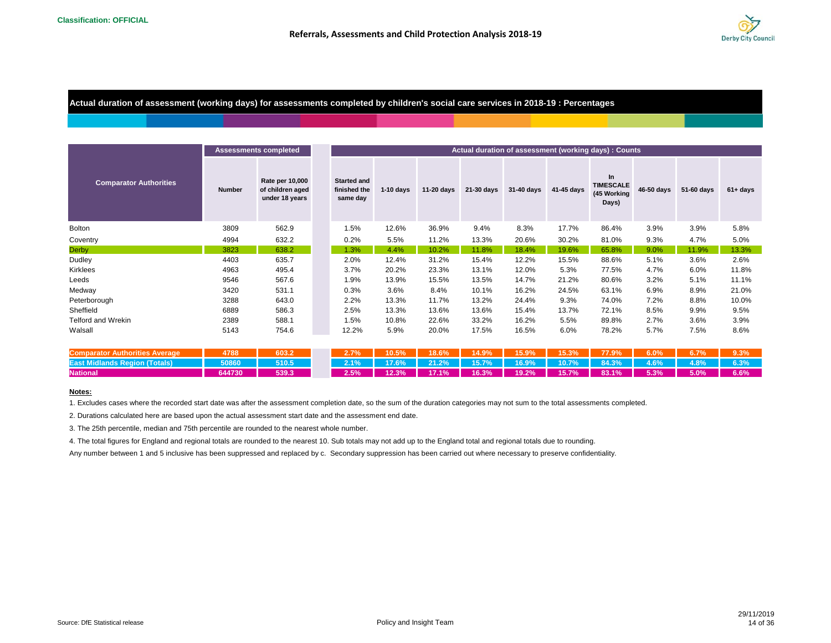

## **Actual duration of assessment (working days) for assessments completed by children's social care services in 2018-19 : Percentages**

|                                       |               | <b>Assessments completed</b>                          |                                                |             |              |            |            |            | Actual duration of assessment (working days) : Counts |            |            |             |
|---------------------------------------|---------------|-------------------------------------------------------|------------------------------------------------|-------------|--------------|------------|------------|------------|-------------------------------------------------------|------------|------------|-------------|
| <b>Comparator Authorities</b>         | <b>Number</b> | Rate per 10,000<br>of children aged<br>under 18 years | <b>Started and</b><br>finished the<br>same day | $1-10$ days | $11-20$ days | 21-30 days | 31-40 days | 41-45 days | In<br><b>TIMESCALE</b><br>(45 Working<br>Days)        | 46-50 days | 51-60 days | $61 + days$ |
| <b>Bolton</b>                         | 3809          | 562.9                                                 | 1.5%                                           | 12.6%       | 36.9%        | 9.4%       | 8.3%       | 17.7%      | 86.4%                                                 | 3.9%       | 3.9%       | 5.8%        |
| Coventry                              | 4994          | 632.2                                                 | 0.2%                                           | 5.5%        | 11.2%        | 13.3%      | 20.6%      | 30.2%      | 81.0%                                                 | 9.3%       | 4.7%       | 5.0%        |
| <b>Derby</b>                          | 3823          | 638.2                                                 | 1.3%                                           | 4.4%        | 10.2%        | 11.8%      | 18.4%      | 19.6%      | 65.8%                                                 | 9.0%       | 11.9%      | 13.3%       |
| Dudley                                | 4403          | 635.7                                                 | 2.0%                                           | 12.4%       | 31.2%        | 15.4%      | 12.2%      | 15.5%      | 88.6%                                                 | 5.1%       | 3.6%       | 2.6%        |
| Kirklees                              | 4963          | 495.4                                                 | 3.7%                                           | 20.2%       | 23.3%        | 13.1%      | 12.0%      | 5.3%       | 77.5%                                                 | 4.7%       | 6.0%       | 11.8%       |
| Leeds                                 | 9546          | 567.6                                                 | 1.9%                                           | 13.9%       | 15.5%        | 13.5%      | 14.7%      | 21.2%      | 80.6%                                                 | 3.2%       | 5.1%       | 11.1%       |
| Medway                                | 3420          | 531.1                                                 | 0.3%                                           | 3.6%        | 8.4%         | 10.1%      | 16.2%      | 24.5%      | 63.1%                                                 | 6.9%       | 8.9%       | 21.0%       |
| Peterborough                          | 3288          | 643.0                                                 | 2.2%                                           | 13.3%       | 11.7%        | 13.2%      | 24.4%      | 9.3%       | 74.0%                                                 | 7.2%       | 8.8%       | 10.0%       |
| Sheffield                             | 6889          | 586.3                                                 | 2.5%                                           | 13.3%       | 13.6%        | 13.6%      | 15.4%      | 13.7%      | 72.1%                                                 | 8.5%       | 9.9%       | 9.5%        |
| <b>Telford and Wrekin</b>             | 2389          | 588.1                                                 | 1.5%                                           | 10.8%       | 22.6%        | 33.2%      | 16.2%      | 5.5%       | 89.8%                                                 | 2.7%       | 3.6%       | 3.9%        |
| Walsall                               | 5143          | 754.6                                                 | 12.2%                                          | 5.9%        | 20.0%        | 17.5%      | 16.5%      | 6.0%       | 78.2%                                                 | 5.7%       | 7.5%       | 8.6%        |
| <b>Comparator Authorities Average</b> | 4788          | 603.2                                                 | 2.7%                                           | 10.5%       | 18.6%        | 14.9%      | 15.9%      | 15.3%      | 77.9%                                                 | 6.0%       | 6.7%       | 9.3%        |
| <b>East Midlands Region (Totals)</b>  | 50860         | 510.5                                                 | 2.1%                                           | 17.6%       | 21.2%        | 15.7%      | 16.9%      | 10.7%      | 84.3%                                                 | 4.6%       | 4.8%       | 6.3%        |
| <b>National</b>                       | 644730        | 539.3                                                 | 2.5%                                           | 12.3%       | 17.1%        | 16.3%      | 19.2%      | 15.7%      | 83.1%                                                 | 5.3%       | 5.0%       | 6.6%        |

#### **Notes:**

1. Excludes cases where the recorded start date was after the assessment completion date, so the sum of the duration categories may not sum to the total assessments completed.

2. Durations calculated here are based upon the actual assessment start date and the assessment end date.

3. The 25th percentile, median and 75th percentile are rounded to the nearest whole number.

4. The total figures for England and regional totals are rounded to the nearest 10. Sub totals may not add up to the England total and regional totals due to rounding.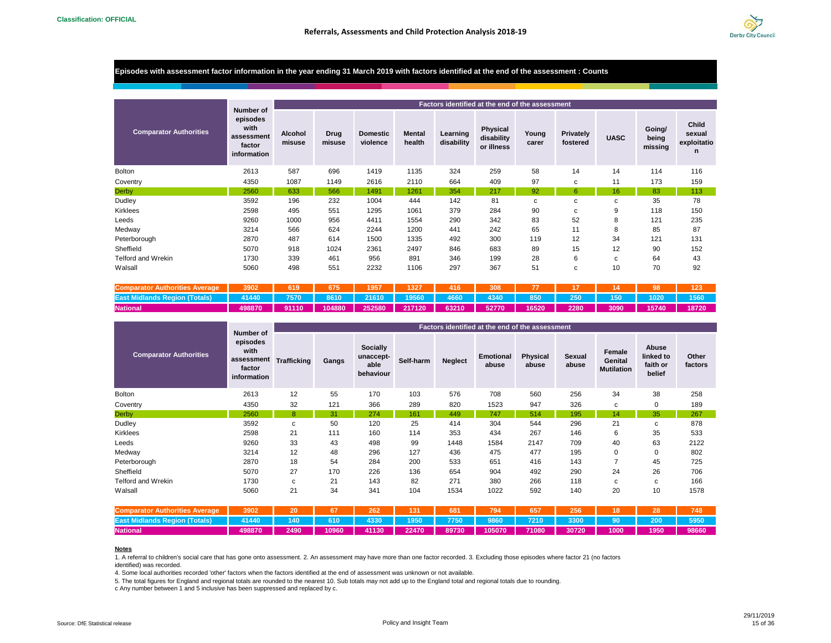

#### **Episodes with assessment factor information in the year ending 31 March 2019 with factors identified at the end of the assessment : Counts**

|                               |                                                                      |                          |                |                             |                         |                        | Factors identified at the end of the assessment |                |                       |             |                            |                                     |
|-------------------------------|----------------------------------------------------------------------|--------------------------|----------------|-----------------------------|-------------------------|------------------------|-------------------------------------------------|----------------|-----------------------|-------------|----------------------------|-------------------------------------|
| <b>Comparator Authorities</b> | Number of<br>episodes<br>with<br>assessment<br>factor<br>information | <b>Alcohol</b><br>misuse | Drug<br>misuse | <b>Domestic</b><br>violence | <b>Mental</b><br>health | Learning<br>disability | Physical<br>disability<br>or illness            | Young<br>carer | Privately<br>fostered | <b>UASC</b> | Going/<br>being<br>missing | Child<br>sexual<br>exploitatio<br>n |
| <b>Bolton</b>                 | 2613                                                                 | 587                      | 696            | 1419                        | 1135                    | 324                    | 259                                             | 58             | 14                    | 14          | 114                        | 116                                 |
| Coventry                      | 4350                                                                 | 1087                     | 1149           | 2616                        | 2110                    | 664                    | 409                                             | 97             | C                     | 11          | 173                        | 159                                 |
| <b>Derby</b>                  | 2560                                                                 | 633                      | 566            | 1491                        | 1261                    | 354                    | 217                                             | 92             | 6                     | 16          | 83                         | 113                                 |
| Dudley                        | 3592                                                                 | 196                      | 232            | 1004                        | 444                     | 142                    | 81                                              | C              | C                     | c           | 35                         | 78                                  |
| <b>Kirklees</b>               | 2598                                                                 | 495                      | 551            | 1295                        | 1061                    | 379                    | 284                                             | 90             | c                     | 9           | 118                        | 150                                 |
| Leeds                         | 9260                                                                 | 1000                     | 956            | 4411                        | 1554                    | 290                    | 342                                             | 83             | 52                    | 8           | 121                        | 235                                 |
| Medway                        | 3214                                                                 | 566                      | 624            | 2244                        | 1200                    | 441                    | 242                                             | 65             | 11                    | 8           | 85                         | 87                                  |
| Peterborough                  | 2870                                                                 | 487                      | 614            | 1500                        | 1335                    | 492                    | 300                                             | 119            | 12                    | 34          | 121                        | 131                                 |
| Sheffield                     | 5070                                                                 | 918                      | 1024           | 2361                        | 2497                    | 846                    | 683                                             | 89             | 15                    | 12          | 90                         | 152                                 |
| <b>Telford and Wrekin</b>     | 1730                                                                 | 339                      | 461            | 956                         | 891                     | 346                    | 199                                             | 28             | 6                     | C           | 64                         | 43                                  |
| Walsall                       | 5060                                                                 | 498                      | 551            | 2232                        | 1106                    | 297                    | 367                                             | 51             | C                     | 10          | 70                         | 92                                  |

| <b>Comparator Authorities Average</b>                                                                             |                                                                                                                | 3902   619   675   1957 | 1327 | $-416$ | 308 |  |  | 123 |
|-------------------------------------------------------------------------------------------------------------------|----------------------------------------------------------------------------------------------------------------|-------------------------|------|--------|-----|--|--|-----|
| East Midlands Region (Totals)   41440   7570   8610   21610   19560   4660   4340   850   250   150   1020   1560 |                                                                                                                |                         |      |        |     |  |  |     |
| <b>National</b>                                                                                                   | / 498870   91110   104880   252580   217120   63210   52770   16520   2280   3090   15740   18720 <sub> </sub> |                         |      |        |     |  |  |     |

|                               |                                                                      |                    |       |                                            |           |                | Factors identified at the end of the assessment |                          |                        |                                        |                                          |                  |
|-------------------------------|----------------------------------------------------------------------|--------------------|-------|--------------------------------------------|-----------|----------------|-------------------------------------------------|--------------------------|------------------------|----------------------------------------|------------------------------------------|------------------|
| <b>Comparator Authorities</b> | Number of<br>episodes<br>with<br>assessment<br>factor<br>information | <b>Trafficking</b> | Gangs | Socially<br>unaccept-<br>able<br>behaviour | Self-harm | <b>Neglect</b> | <b>Emotional</b><br>abuse                       | <b>Physical</b><br>abuse | <b>Sexual</b><br>abuse | Female<br>Genital<br><b>Mutilation</b> | Abuse<br>linked to<br>faith or<br>belief | Other<br>factors |
| <b>Bolton</b>                 | 2613                                                                 | 12                 | 55    | 170                                        | 103       | 576            | 708                                             | 560                      | 256                    | 34                                     | 38                                       | 258              |
| Coventry                      | 4350                                                                 | 32                 | 121   | 366                                        | 289       | 820            | 1523                                            | 947                      | 326                    | C                                      | 0                                        | 189              |
| <b>Derby</b>                  | 2560                                                                 | 8                  | 31    | 274                                        | 161       | 449            | 747                                             | 514                      | 195                    | 14                                     | 35                                       | 267              |
| Dudley                        | 3592                                                                 | C                  | 50    | 120                                        | 25        | 414            | 304                                             | 544                      | 296                    | 21                                     | c                                        | 878              |
| Kirklees                      | 2598                                                                 | 21                 | 111   | 160                                        | 114       | 353            | 434                                             | 267                      | 146                    | 6                                      | 35                                       | 533              |
| Leeds                         | 9260                                                                 | 33                 | 43    | 498                                        | 99        | 1448           | 1584                                            | 2147                     | 709                    | 40                                     | 63                                       | 2122             |
| Medway                        | 3214                                                                 | 12                 | 48    | 296                                        | 127       | 436            | 475                                             | 477                      | 195                    | 0                                      | 0                                        | 802              |
| Peterborough                  | 2870                                                                 | 18                 | 54    | 284                                        | 200       | 533            | 651                                             | 416                      | 143                    | 7                                      | 45                                       | 725              |
| Sheffield                     | 5070                                                                 | 27                 | 170   | 226                                        | 136       | 654            | 904                                             | 492                      | 290                    | 24                                     | 26                                       | 706              |
| Telford and Wrekin            | 1730                                                                 | C                  | 21    | 143                                        | 82        | 271            | 380                                             | 266                      | 118                    | C                                      | c                                        | 166              |
| Walsall                       | 5060                                                                 | 21                 | 34    | 341                                        | 104       | 1534           | 1022                                            | 592                      | 140                    | 20                                     | 10                                       | 1578             |

| <b>Comparator Authorities Average</b>                                                                  | 3902 20 |  | 67   262   131   681 | 794 | 657 | 256 | 18 | 28 | 748  |
|--------------------------------------------------------------------------------------------------------|---------|--|----------------------|-----|-----|-----|----|----|------|
| East Midlands Region (Totals)   41440   140   610   4330   1950   7750   9860   7210   3300   90   200 |         |  |                      |     |     |     |    |    | 5950 |
| <b>National</b>                                                                                        |         |  |                      |     |     |     |    |    |      |

#### **Notes**

1. A referral to children's social care that has gone onto assessment. 2. An assessment may have more than one factor recorded. 3. Excluding those episodes where factor 21 (no factors identified) was recorded.

4. Some local authorities recorded 'other' factors when the factors identified at the end of assessment was unknown or not available.

5. The total figures for England and regional totals are rounded to the nearest 10. Sub totals may not add up to the England total and regional totals due to rounding.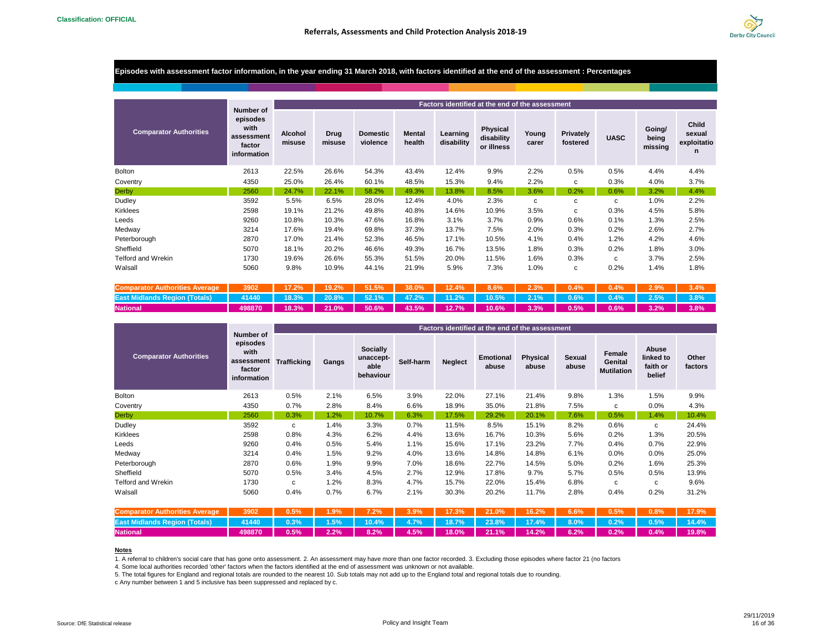

#### **Episodes with assessment factor information, in the year ending 31 March 2018, with factors identified at the end of the assessment : Percentages**

|                               |                                                                      |                   |                |                             |                         |                        | Factors identified at the end of the assessment |                |                              |             |                            |                                     |
|-------------------------------|----------------------------------------------------------------------|-------------------|----------------|-----------------------------|-------------------------|------------------------|-------------------------------------------------|----------------|------------------------------|-------------|----------------------------|-------------------------------------|
| <b>Comparator Authorities</b> | Number of<br>episodes<br>with<br>assessment<br>factor<br>information | Alcohol<br>misuse | Drug<br>misuse | <b>Domestic</b><br>violence | <b>Mental</b><br>health | Learning<br>disability | Physical<br>disability<br>or illness            | Young<br>carer | <b>Privately</b><br>fostered | <b>UASC</b> | Going/<br>being<br>missing | Child<br>sexual<br>exploitatio<br>n |
| <b>Bolton</b>                 | 2613                                                                 | 22.5%             | 26.6%          | 54.3%                       | 43.4%                   | 12.4%                  | 9.9%                                            | 2.2%           | 0.5%                         | 0.5%        | 4.4%                       | 4.4%                                |
| Coventry                      | 4350                                                                 | 25.0%             | 26.4%          | 60.1%                       | 48.5%                   | 15.3%                  | 9.4%                                            | 2.2%           | c                            | 0.3%        | 4.0%                       | 3.7%                                |
| <b>Derby</b>                  | 2560                                                                 | 24.7%             | 22.1%          | 58.2%                       | 49.3%                   | 13.8%                  | 8.5%                                            | 3.6%           | 0.2%                         | 0.6%        | 3.2%                       | 4.4%                                |
| Dudley                        | 3592                                                                 | 5.5%              | 6.5%           | 28.0%                       | 12.4%                   | 4.0%                   | 2.3%                                            | c              | c                            | С           | 1.0%                       | 2.2%                                |
| <b>Kirklees</b>               | 2598                                                                 | 19.1%             | 21.2%          | 49.8%                       | 40.8%                   | 14.6%                  | 10.9%                                           | 3.5%           | c                            | 0.3%        | 4.5%                       | 5.8%                                |
| Leeds                         | 9260                                                                 | 10.8%             | 10.3%          | 47.6%                       | 16.8%                   | 3.1%                   | 3.7%                                            | 0.9%           | 0.6%                         | 0.1%        | 1.3%                       | 2.5%                                |
| Medway                        | 3214                                                                 | 17.6%             | 19.4%          | 69.8%                       | 37.3%                   | 13.7%                  | 7.5%                                            | 2.0%           | 0.3%                         | 0.2%        | 2.6%                       | 2.7%                                |
| Peterborough                  | 2870                                                                 | 17.0%             | 21.4%          | 52.3%                       | 46.5%                   | 17.1%                  | 10.5%                                           | 4.1%           | 0.4%                         | 1.2%        | 4.2%                       | 4.6%                                |
| Sheffield                     | 5070                                                                 | 18.1%             | 20.2%          | 46.6%                       | 49.3%                   | 16.7%                  | 13.5%                                           | 1.8%           | 0.3%                         | 0.2%        | 1.8%                       | 3.0%                                |
| <b>Telford and Wrekin</b>     | 1730                                                                 | 19.6%             | 26.6%          | 55.3%                       | 51.5%                   | 20.0%                  | 11.5%                                           | 1.6%           | 0.3%                         | c           | 3.7%                       | 2.5%                                |
| Walsall                       | 5060                                                                 | 9.8%              | 10.9%          | 44.1%                       | 21.9%                   | 5.9%                   | 7.3%                                            | 1.0%           | c                            | 0.2%        | 1.4%                       | 1.8%                                |

| <b>Comparator Authorities Average</b>                                                                                    |                                                                                           |  |  |  |  |  |  |
|--------------------------------------------------------------------------------------------------------------------------|-------------------------------------------------------------------------------------------|--|--|--|--|--|--|
| East Midlands Region (Totals)   41440   18.3%   20.8%   52.1%   47.2%   11.2%   10.5%   2.1%   0.6%   0.4%   2.5%   3.8% |                                                                                           |  |  |  |  |  |  |
| <b>National</b>                                                                                                          | 498870   18.3%   21.0%   50.6%   43.5%   12.7%   10.6%   3.3%   0.5%   0.6%   3.2%   3.8% |  |  |  |  |  |  |

|                               |                                                                      |                    |       |                                            |           |                |                           | Factors identified at the end of the assessment |                 |                                               |                                          |                  |
|-------------------------------|----------------------------------------------------------------------|--------------------|-------|--------------------------------------------|-----------|----------------|---------------------------|-------------------------------------------------|-----------------|-----------------------------------------------|------------------------------------------|------------------|
| <b>Comparator Authorities</b> | Number of<br>episodes<br>with<br>assessment<br>factor<br>information | <b>Trafficking</b> | Gangs | Socially<br>unaccept-<br>able<br>behaviour | Self-harm | <b>Neglect</b> | <b>Emotional</b><br>abuse | <b>Physical</b><br>abuse                        | Sexual<br>abuse | <b>Female</b><br>Genital<br><b>Mutilation</b> | Abuse<br>linked to<br>faith or<br>belief | Other<br>factors |
| <b>Bolton</b>                 | 2613                                                                 | 0.5%               | 2.1%  | 6.5%                                       | 3.9%      | 22.0%          | 27.1%                     | 21.4%                                           | 9.8%            | 1.3%                                          | 1.5%                                     | 9.9%             |
| Coventry                      | 4350                                                                 | 0.7%               | 2.8%  | 8.4%                                       | 6.6%      | 18.9%          | 35.0%                     | 21.8%                                           | 7.5%            | c                                             | 0.0%                                     | 4.3%             |
| <b>Derby</b>                  | 2560                                                                 | 0.3%               | 1.2%  | 10.7%                                      | 6.3%      | 17.5%          | 29.2%                     | 20.1%                                           | 7.6%            | 0.5%                                          | 1.4%                                     | 10.4%            |
| Dudley                        | 3592                                                                 | c                  | 1.4%  | 3.3%                                       | 0.7%      | 11.5%          | 8.5%                      | 15.1%                                           | 8.2%            | 0.6%                                          | C                                        | 24.4%            |
| <b>Kirklees</b>               | 2598                                                                 | 0.8%               | 4.3%  | 6.2%                                       | 4.4%      | 13.6%          | 16.7%                     | 10.3%                                           | 5.6%            | 0.2%                                          | 1.3%                                     | 20.5%            |
| Leeds                         | 9260                                                                 | 0.4%               | 0.5%  | 5.4%                                       | 1.1%      | 15.6%          | 17.1%                     | 23.2%                                           | 7.7%            | 0.4%                                          | 0.7%                                     | 22.9%            |
| Medway                        | 3214                                                                 | 0.4%               | 1.5%  | 9.2%                                       | 4.0%      | 13.6%          | 14.8%                     | 14.8%                                           | 6.1%            | $0.0\%$                                       | 0.0%                                     | 25.0%            |
| Peterborough                  | 2870                                                                 | 0.6%               | 1.9%  | 9.9%                                       | 7.0%      | 18.6%          | 22.7%                     | 14.5%                                           | 5.0%            | 0.2%                                          | 1.6%                                     | 25.3%            |
| Sheffield                     | 5070                                                                 | 0.5%               | 3.4%  | 4.5%                                       | 2.7%      | 12.9%          | 17.8%                     | 9.7%                                            | 5.7%            | 0.5%                                          | 0.5%                                     | 13.9%            |
| Telford and Wrekin            | 1730                                                                 | C                  | 1.2%  | 8.3%                                       | 4.7%      | 15.7%          | 22.0%                     | 15.4%                                           | 6.8%            | c                                             | c                                        | 9.6%             |
| Walsall                       | 5060                                                                 | 0.4%               | 0.7%  | 6.7%                                       | 2.1%      | 30.3%          | 20.2%                     | 11.7%                                           | 2.8%            | 0.4%                                          | 0.2%                                     | 31.2%            |

| Comparator Authorities Average   3902   0.5%   1.9%   7.2%   3.9%   17.3%   21.0%   16.2%   6.6%   0.5%   0.8%   17.9%  |  |  |  |  |  |  |
|-------------------------------------------------------------------------------------------------------------------------|--|--|--|--|--|--|
| East Midlands Region (Totals)   41440   0.3%   1.5%   10.4%   4.7%   18.7%   23.8%   17.4%   8.0%   0.2%   0.5%   14.4% |  |  |  |  |  |  |
| <b>National</b>                                                                                                         |  |  |  |  |  |  |

#### **Notes**

1. A referral to children's social care that has gone onto assessment. 2. An assessment may have more than one factor recorded. 3. Excluding those episodes where factor 21 (no factors

4. Some local authorities recorded 'other' factors when the factors identified at the end of assessment was unknown or not available.

5. The total figures for England and regional totals are rounded to the nearest 10. Sub totals may not add up to the England total and regional totals due to rounding.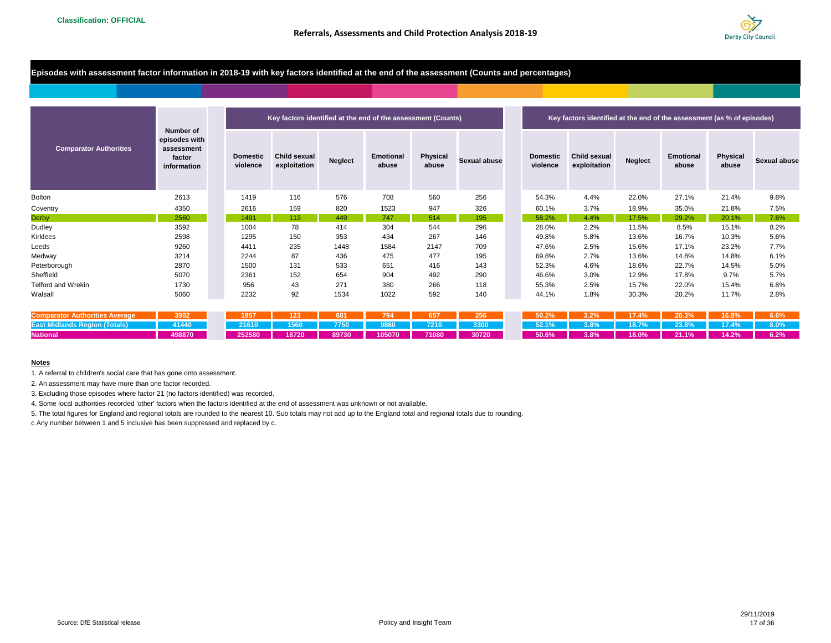

## **Episodes with assessment factor information in 2018-19 with key factors identified at the end of the assessment (Counts and percentages)**

|                               |                                                                   |                             | Key factors identified at the end of the assessment (Counts) |                |                    |                   |                     |                             | Key factors identified at the end of the assessment (as % of episodes) |                |                           |                   |                     |
|-------------------------------|-------------------------------------------------------------------|-----------------------------|--------------------------------------------------------------|----------------|--------------------|-------------------|---------------------|-----------------------------|------------------------------------------------------------------------|----------------|---------------------------|-------------------|---------------------|
| <b>Comparator Authorities</b> | Number of<br>episodes with<br>assessment<br>factor<br>information | <b>Domestic</b><br>violence | <b>Child sexual</b><br>exploitation                          | <b>Neglect</b> | Emotional<br>abuse | Physical<br>abuse | <b>Sexual abuse</b> | <b>Domestic</b><br>violence | <b>Child sexual</b><br>exploitation                                    | <b>Neglect</b> | <b>Emotional</b><br>abuse | Physical<br>abuse | <b>Sexual abuse</b> |
| Bolton                        | 2613                                                              | 1419                        | 116                                                          | 576            | 708                | 560               | 256                 | 54.3%                       | 4.4%                                                                   | 22.0%          | 27.1%                     | 21.4%             | 9.8%                |
| Coventry                      | 4350                                                              | 2616                        | 159                                                          | 820            | 1523               | 947               | 326                 | 60.1%                       | 3.7%                                                                   | 18.9%          | 35.0%                     | 21.8%             | 7.5%                |
| <b>Derby</b>                  | 2560                                                              | 1491                        | 113                                                          | 449            | 747                | 514               | 195                 | 58.2%                       | 4.4%                                                                   | 17.5%          | 29.2%                     | 20.1%             | 7.6%                |
| Dudley                        | 3592                                                              | 1004                        | 78                                                           | 414            | 304                | 544               | 296                 | 28.0%                       | 2.2%                                                                   | 11.5%          | 8.5%                      | 15.1%             | 8.2%                |
| Kirklees                      | 2598                                                              | 1295                        | 150                                                          | 353            | 434                | 267               | 146                 | 49.8%                       | 5.8%                                                                   | 13.6%          | 16.7%                     | 10.3%             | 5.6%                |
| Leeds                         | 9260                                                              | 4411                        | 235                                                          | 1448           | 1584               | 2147              | 709                 | 47.6%                       | 2.5%                                                                   | 15.6%          | 17.1%                     | 23.2%             | 7.7%                |
| Medway                        | 3214                                                              | 2244                        | 87                                                           | 436            | 475                | 477               | 195                 | 69.8%                       | 2.7%                                                                   | 13.6%          | 14.8%                     | 14.8%             | 6.1%                |
| Peterborough                  | 2870                                                              | 1500                        | 131                                                          | 533            | 651                | 416               | 143                 | 52.3%                       | 4.6%                                                                   | 18.6%          | 22.7%                     | 14.5%             | 5.0%                |
| Sheffield                     | 5070                                                              | 2361                        | 152                                                          | 654            | 904                | 492               | 290                 | 46.6%                       | 3.0%                                                                   | 12.9%          | 17.8%                     | 9.7%              | 5.7%                |
| <b>Telford and Wrekin</b>     | 1730                                                              | 956                         | 43                                                           | 271            | 380                | 266               | 118                 | 55.3%                       | 2.5%                                                                   | 15.7%          | 22.0%                     | 15.4%             | 6.8%                |
| Walsall                       | 5060                                                              | 2232                        | 92                                                           | 1534           | 1022               | 592               | 140                 | 44.1%                       | 1.8%                                                                   | 30.3%          | 20.2%                     | 11.7%             | 2.8%                |

| <b>Comparator Authorities Average</b> | 3902      | <sup>7</sup> 1957   123   681   794   657   256 |  |  |  |                                               |  |  |
|---------------------------------------|-----------|-------------------------------------------------|--|--|--|-----------------------------------------------|--|--|
| <b>East Midlands Region (Totals)</b>  | 41440     | <b>21610 1560 7750 9860 7210 3300</b>           |  |  |  | / 52.1%   3.8%   18.7%   23.8%   17.4%   8.0% |  |  |
| <b>National</b>                       | $-498870$ |                                                 |  |  |  | $50.6\%$ 3.8% 18.0% 21.1% 14.2% 6.2%          |  |  |

#### **Notes**

1. A referral to children's social care that has gone onto assessment.

2. An assessment may have more than one factor recorded.

3. Excluding those episodes where factor 21 (no factors identified) was recorded.

4. Some local authorities recorded 'other' factors when the factors identified at the end of assessment was unknown or not available.

5. The total figures for England and regional totals are rounded to the nearest 10. Sub totals may not add up to the England total and regional totals due to rounding.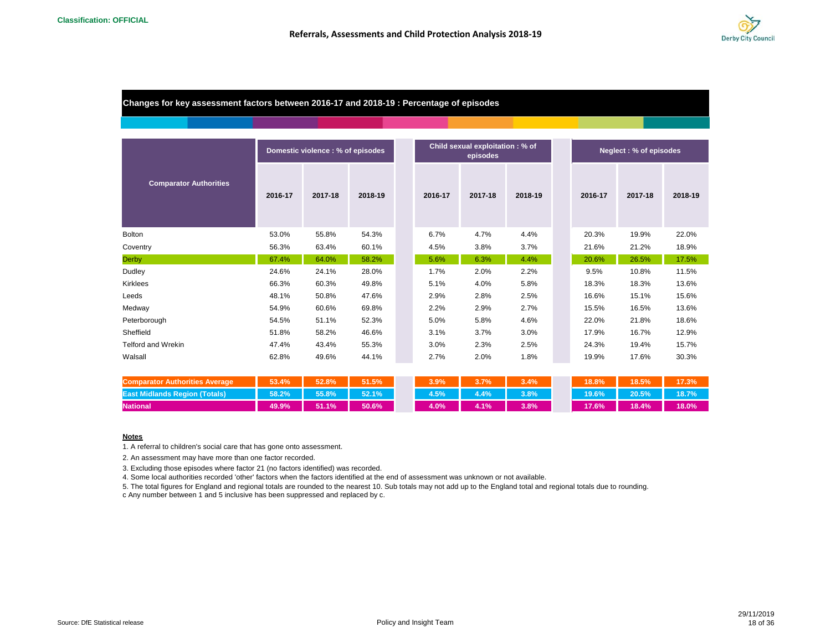

## **Changes for key assessment factors between 2016-17 and 2018-19 : Percentage of episodes**

|                               |         | Domestic violence : % of episodes |         |         | Child sexual exploitation: % of<br>episodes | Neglect: % of episodes |         |         |  |
|-------------------------------|---------|-----------------------------------|---------|---------|---------------------------------------------|------------------------|---------|---------|--|
| <b>Comparator Authorities</b> | 2016-17 | 2017-18                           | 2018-19 | 2016-17 | 2017-18                                     | 2018-19                | 2016-17 | 2017-18 |  |
| <b>Bolton</b>                 | 53.0%   | 55.8%                             | 54.3%   | 6.7%    | 4.7%                                        | 4.4%                   | 20.3%   | 19.9%   |  |
| Coventry                      | 56.3%   | 63.4%                             | 60.1%   | 4.5%    | 3.8%                                        | 3.7%                   | 21.6%   | 21.2%   |  |
| <b>Derby</b>                  | 67.4%   | 64.0%                             | 58.2%   | 5.6%    | 6.3%                                        | 4.4%                   | 20.6%   | 26.5%   |  |
| Dudley                        | 24.6%   | 24.1%                             | 28.0%   | 1.7%    | 2.0%                                        | 2.2%                   | 9.5%    | 10.8%   |  |
| Kirklees                      | 66.3%   | 60.3%                             | 49.8%   | 5.1%    | 4.0%                                        | 5.8%                   | 18.3%   | 18.3%   |  |
| Leeds                         | 48.1%   | 50.8%                             | 47.6%   | 2.9%    | 2.8%                                        | 2.5%                   | 16.6%   | 15.1%   |  |
| Medway                        | 54.9%   | 60.6%                             | 69.8%   | 2.2%    | 2.9%                                        | 2.7%                   | 15.5%   | 16.5%   |  |
| Peterborough                  | 54.5%   | 51.1%                             | 52.3%   | 5.0%    | 5.8%                                        | 4.6%                   | 22.0%   | 21.8%   |  |
| Sheffield                     | 51.8%   | 58.2%                             | 46.6%   | 3.1%    | 3.7%                                        | 3.0%                   | 17.9%   | 16.7%   |  |
| <b>Telford and Wrekin</b>     | 47.4%   | 43.4%                             | 55.3%   | 3.0%    | 2.3%                                        | 2.5%                   | 24.3%   | 19.4%   |  |
| Walsall                       | 62.8%   | 49.6%                             | 44.1%   | 2.7%    | 2.0%                                        | 1.8%                   | 19.9%   | 17.6%   |  |

| <b>Comparator Authorities Average</b> | 53.4%     | $52.8\%$ | 51.5%  | 3.9%    | 3.7% | 3.4%    | 18.8%    | 18.5%     | 17.3% |
|---------------------------------------|-----------|----------|--------|---------|------|---------|----------|-----------|-------|
| <b>East Midlands Region (Totals)</b>  | $158.2\%$ | 55.8%    | 152.1% | $4.5\%$ | 4.4% | $3.8\%$ | $19.6\%$ | $120.5\%$ | 18.7% |
| <b>National</b>                       | 49.9%     | 51.1%    | 50.6%  | $4.0\%$ | 4.1% | 3.8%    | 17.6%    | 18.4%     | 18.0% |

#### **Notes**

1. A referral to children's social care that has gone onto assessment.

2. An assessment may have more than one factor recorded.

3. Excluding those episodes where factor 21 (no factors identified) was recorded.

4. Some local authorities recorded 'other' factors when the factors identified at the end of assessment was unknown or not available.

5. The total figures for England and regional totals are rounded to the nearest 10. Sub totals may not add up to the England total and regional totals due to rounding.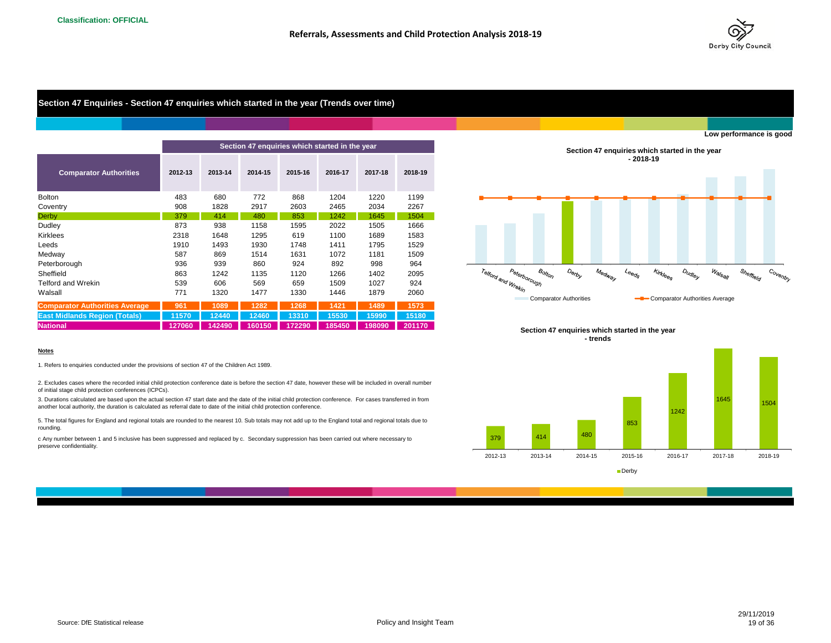

## **Section 47 Enquiries - Section 47 enquiries which started in the year (Trends over time)**

|                                       |         |         | Section 47 enquiries which started in the year |         |         |         |         |
|---------------------------------------|---------|---------|------------------------------------------------|---------|---------|---------|---------|
| <b>Comparator Authorities</b>         | 2012-13 | 2013-14 | 2014-15                                        | 2015-16 | 2016-17 | 2017-18 | 2018-19 |
| <b>Bolton</b>                         | 483     | 680     | 772                                            | 868     | 1204    | 1220    | 1199    |
| Coventry                              | 908     | 1828    | 2917                                           | 2603    | 2465    | 2034    | 2267    |
| <b>Derby</b>                          | 379     | 414     | 480                                            | 853     | 1242    | 1645    | 1504    |
| Dudley                                | 873     | 938     | 1158                                           | 1595    | 2022    | 1505    | 1666    |
| <b>Kirklees</b>                       | 2318    | 1648    | 1295                                           | 619     | 1100    | 1689    | 1583    |
| Leeds                                 | 1910    | 1493    | 1930                                           | 1748    | 1411    | 1795    | 1529    |
| Medway                                | 587     | 869     | 1514                                           | 1631    | 1072    | 1181    | 1509    |
| Peterborough                          | 936     | 939     | 860                                            | 924     | 892     | 998     | 964     |
| Sheffield                             | 863     | 1242    | 1135                                           | 1120    | 1266    | 1402    | 2095    |
| <b>Telford and Wrekin</b>             | 539     | 606     | 569                                            | 659     | 1509    | 1027    | 924     |
| Walsall                               | 771     | 1320    | 1477                                           | 1330    | 1446    | 1879    | 2060    |
| <b>Comparator Authorities Average</b> | 961     | 1089    | 1282                                           | 1268    | 1421    | 1489    | 1573    |
| <b>East Midlands Region (Totals)</b>  | 11570   | 12440   | 12460                                          | 13310   | 15530   | 15990   | 15180   |
| <b>National</b>                       | 127060  | 142490  | 160150                                         | 172290  | 185450  | 198090  | 201170  |

#### **Notes**

1. Refers to enquiries conducted under the provisions of section 47 of the Children Act 1989.

2. Excludes cases where the recorded initial child protection conference date is before the section 47 date, however these will be included in overall number of initial stage child protection conferences (ICPCs).

3. Durations calculated are based upon the actual section 47 start date and the date of the initial child protection conference. For cases transferred in from another local authority, the duration is calculated as referral date to date of the initial child protection conference.

5. The total figures for England and regional totals are rounded to the nearest 10. Sub totals may not add up to the England total and regional totals due to rounding.

c Any number between 1 and 5 inclusive has been suppressed and replaced by c. Secondary suppression has been carried out where necessary to preserve confidentiality.



#### **Section 47 enquiries which started in the year - trends**

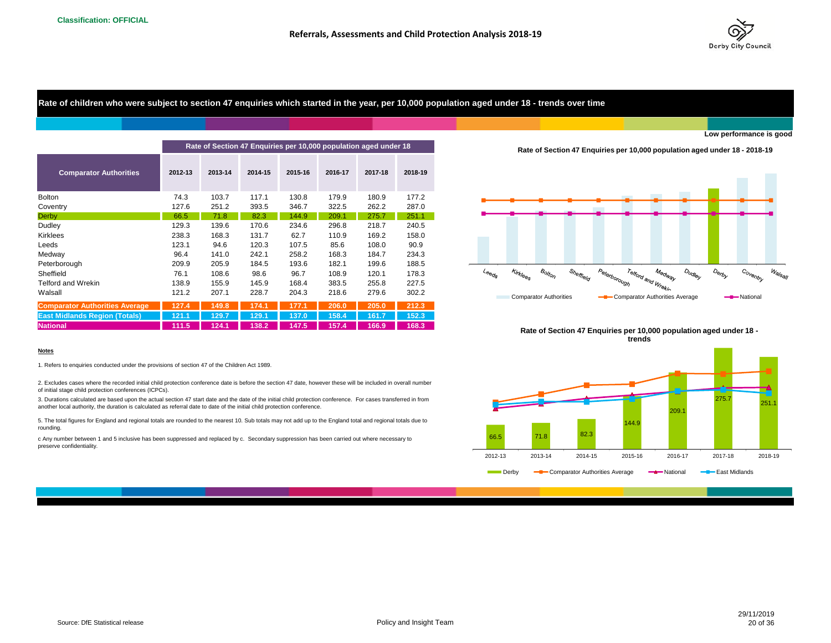

## **Rate of children who were subject to section 47 enquiries which started in the year, per 10,000 population aged under 18 - trends over time**

|                                       | Rate of Section 47 Enquiries per 10,000 population aged under 18<br>Rate of Section 47 Enquiries per 10,000 |         |         |         |         |         |         |                                                                                                                 |  |
|---------------------------------------|-------------------------------------------------------------------------------------------------------------|---------|---------|---------|---------|---------|---------|-----------------------------------------------------------------------------------------------------------------|--|
| <b>Comparator Authorities</b>         | 2012-13                                                                                                     | 2013-14 | 2014-15 | 2015-16 | 2016-17 | 2017-18 | 2018-19 |                                                                                                                 |  |
| <b>Bolton</b>                         | 74.3                                                                                                        | 103.7   | 117.1   | 130.8   | 179.9   | 180.9   | 177.2   |                                                                                                                 |  |
| Coventry                              | 127.6                                                                                                       | 251.2   | 393.5   | 346.7   | 322.5   | 262.2   | 287.0   |                                                                                                                 |  |
| Derby                                 | 66.5                                                                                                        | 71.8    | 82.3    | 144.9   | 209.1   | 275.7   | 251.1   |                                                                                                                 |  |
| Dudley                                | 129.3                                                                                                       | 139.6   | 170.6   | 234.6   | 296.8   | 218.7   | 240.5   |                                                                                                                 |  |
| <b>Kirklees</b>                       | 238.3                                                                                                       | 168.3   | 131.7   | 62.7    | 110.9   | 169.2   | 158.0   |                                                                                                                 |  |
| Leeds                                 | 123.1                                                                                                       | 94.6    | 120.3   | 107.5   | 85.6    | 108.0   | 90.9    |                                                                                                                 |  |
| Medway                                | 96.4                                                                                                        | 141.0   | 242.1   | 258.2   | 168.3   | 184.7   | 234.3   |                                                                                                                 |  |
| Peterborough                          | 209.9                                                                                                       | 205.9   | 184.5   | 193.6   | 182.1   | 199.6   | 188.5   |                                                                                                                 |  |
| Sheffield                             | 76.1                                                                                                        | 108.6   | 98.6    | 96.7    | 108.9   | 120.1   | 178.3   | $B_{OllO}$<br>Peterborough<br>Kirklees<br>Sheffield<br>Telford and<br>$\iota_{\Theta \Theta_{Q_{\mathcal{S}}}}$ |  |
| Telford and Wrekin                    | 138.9                                                                                                       | 155.9   | 145.9   | 168.4   | 383.5   | 255.8   | 227.5   |                                                                                                                 |  |
| Walsall                               | 121.2                                                                                                       | 207.1   | 228.7   | 204.3   | 218.6   | 279.6   | 302.2   | <b>Comparator Authorities</b><br><b>-B</b> Comparator Au                                                        |  |
| <b>Comparator Authorities Average</b> | 127.4                                                                                                       | 149.8   | 174.1   | 177.1   | 206.0   | 205.0   | 212.3   |                                                                                                                 |  |
| <b>East Midlands Region (Totals)</b>  | 121.1                                                                                                       | 129.7   | 129.    | 137.0   | 158.4   | 161.7   | 152.3   |                                                                                                                 |  |
| <b>National</b>                       | 111.5                                                                                                       | 124.1   | 138.2   | 147.5   | 157.4   | 166.9   | 168.3   | Rate of Section 47 Enguiries per 10,00                                                                          |  |

#### **Rate of Section 47 Enquiries per 10,000 population aged under 18 - 2018-19**



**Rate of Section 47 Enquiries per 10,000 population aged under 18 trends**



#### **Notes**

1. Refers to enquiries conducted under the provisions of section 47 of the Children Act 1989.

2. Excludes cases where the recorded initial child protection conference date is before the section 47 date, however these will be included in overall number of initial stage child protection conferences (ICPCs).

3. Durations calculated are based upon the actual section 47 start date and the date of the initial child protection conference. For cases transferred in from another local authority, the duration is calculated as referral date to date of the initial child protection conference.

5. The total figures for England and regional totals are rounded to the nearest 10. Sub totals may not add up to the England total and regional totals due to rounding.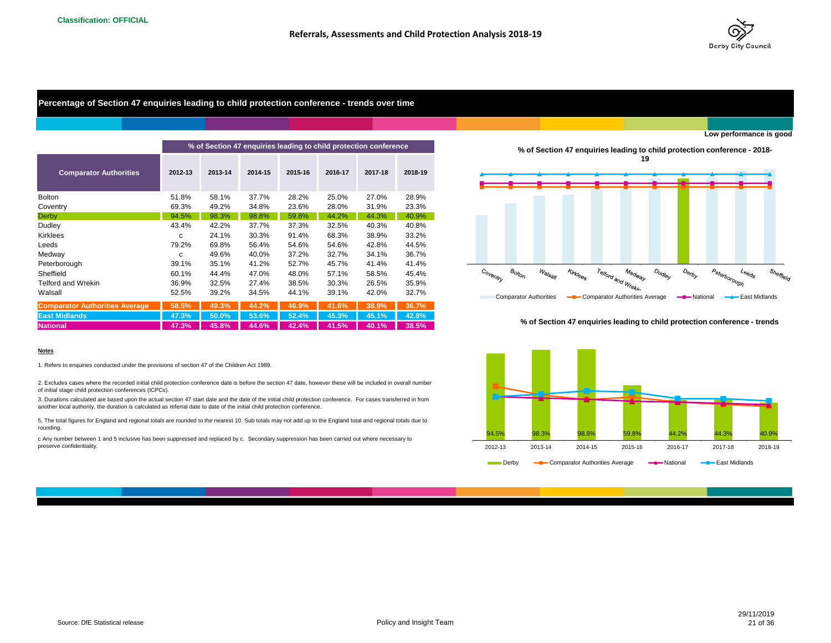

## **Percentage of Section 47 enquiries leading to child protection conference - trends over time**

|                                       |         |         | % of Section 47 enquiries leading to child protection conference |         |         |         |         |                      |                               |                                                                                                           |                                                                  |                                |        |                    | % of Section 47 enquiries leading to child protection conference - 2018- |              |                                                                           |    |
|---------------------------------------|---------|---------|------------------------------------------------------------------|---------|---------|---------|---------|----------------------|-------------------------------|-----------------------------------------------------------------------------------------------------------|------------------------------------------------------------------|--------------------------------|--------|--------------------|--------------------------------------------------------------------------|--------------|---------------------------------------------------------------------------|----|
| <b>Comparator Authorities</b>         | 2012-13 | 2013-14 | 2014-15                                                          | 2015-16 | 2016-17 | 2017-18 | 2018-19 |                      |                               |                                                                                                           |                                                                  |                                | 19     |                    |                                                                          |              |                                                                           |    |
| <b>Bolton</b>                         | 51.8%   | 58.1%   | 37.7%                                                            | 28.2%   | 25.0%   | 27.0%   | 28.9%   |                      |                               |                                                                                                           |                                                                  |                                |        |                    |                                                                          |              |                                                                           |    |
| Coventry                              | 69.3%   | 49.2%   | 34.8%                                                            | 23.6%   | 28.0%   | 31.9%   | 23.3%   |                      |                               |                                                                                                           |                                                                  |                                |        |                    |                                                                          |              |                                                                           |    |
| <b>Derby</b>                          | 94.5%   | 98.3%   | 98.8%                                                            | 59.8%   | 44.2%   | 44.3%   | 40.9%   |                      |                               |                                                                                                           |                                                                  |                                |        |                    |                                                                          |              |                                                                           |    |
| Dudley                                | 43.4%   | 42.2%   | 37.7%                                                            | 37.3%   | 32.5%   | 40.3%   | 40.8%   |                      |                               |                                                                                                           |                                                                  |                                |        |                    |                                                                          |              |                                                                           |    |
| Kirklees                              | c       | 24.1%   | 30.3%                                                            | 91.4%   | 68.3%   | 38.9%   | 33.2%   |                      |                               |                                                                                                           |                                                                  |                                |        |                    |                                                                          |              |                                                                           |    |
| Leeds                                 | 79.2%   | 69.8%   | 56.4%                                                            | 54.6%   | 54.6%   | 42.8%   | 44.5%   |                      |                               |                                                                                                           |                                                                  |                                |        |                    |                                                                          |              |                                                                           |    |
| Medway                                | C       | 49.6%   | 40.0%                                                            | 37.2%   | 32.7%   | 34.1%   | 36.7%   |                      |                               |                                                                                                           |                                                                  |                                |        |                    |                                                                          |              |                                                                           |    |
| Peterborough                          | 39.1%   | 35.1%   | 41.2%                                                            | 52.7%   | 45.7%   | 41.4%   | 41.4%   |                      |                               |                                                                                                           |                                                                  |                                |        |                    |                                                                          |              |                                                                           |    |
| Sheffield                             | 60.1%   | 44.4%   | 47.0%                                                            | 48.0%   | 57.1%   | 58.5%   | 45.4%   | Co <sub>ventry</sub> | $B_{O/t_{O}}$                 | $\mathcal{W}_{\mathsf{a} \mathsf{l} \mathsf{S}_{\mathsf{a} \mathsf{l} \mathsf{l} \mathsf{l} \mathsf{l} }$ | $\kappa_{\textit{irk}_{\textit{lo}}_{\textit{e}_{\mathcal{S}}}}$ | Telford and Wrekin             | Medway | D <sub>Udley</sub> | Derby                                                                    | Peterborough | $\iota_{\circ_{\Theta_{Q_{\mathcal{S}}}}}$                                | Sh |
| Telford and Wrekin                    | 36.9%   | 32.5%   | 27.4%                                                            | 38.5%   | 30.3%   | 26.5%   | 35.9%   |                      |                               |                                                                                                           |                                                                  |                                |        |                    |                                                                          |              |                                                                           |    |
| Walsall                               | 52.5%   | 39.2%   | 34.5%                                                            | 44.1%   | 39.1%   | 42.0%   | 32.7%   |                      | <b>Comparator Authorities</b> |                                                                                                           |                                                                  | Comparator Authorities Average |        |                    | -National                                                                |              | East Midlands                                                             |    |
| <b>Comparator Authorities Average</b> | 58.5%   | 49.3%   | 44.2%                                                            | 46.9%   | 41.6%   | 38.9%   | 36.7%   |                      |                               |                                                                                                           |                                                                  |                                |        |                    |                                                                          |              |                                                                           |    |
| <b>East Midlands</b>                  | 47.3%   | 50.0%   | 53.6%                                                            | 52.4%   | 45.3%   | 45.1%   | 42.8%   |                      |                               |                                                                                                           |                                                                  |                                |        |                    |                                                                          |              |                                                                           |    |
| <b>National</b>                       | 47.3%   | 45.8%   | 44.6%                                                            | 42.4%   | 41.5%   | 40.1%   | 38.5%   |                      |                               |                                                                                                           |                                                                  |                                |        |                    |                                                                          |              | % of Section 47 enquiries leading to child protection conference - trends |    |

**% of Section 47 enquiries leading to child protection conference - 2018- 19**



#### **% of Section 47 enquiries leading to child protection conference - trends**



1. Refers to enquiries conducted under the provisions of section 47 of the Children Act 1989.

2. Excludes cases where the recorded initial child protection conference date is before the section 47 date, however these will be included in overall number of initial stage child protection conferences (ICPCs).

3. Durations calculated are based upon the actual section 47 start date and the date of the initial child protection conference. For cases transferred in from another local authority, the duration is calculated as referral date to date of the initial child protection conference.

5. The total figures for England and regional totals are rounded to the nearest 10. Sub totals may not add up to the England total and regional totals due to rounding.

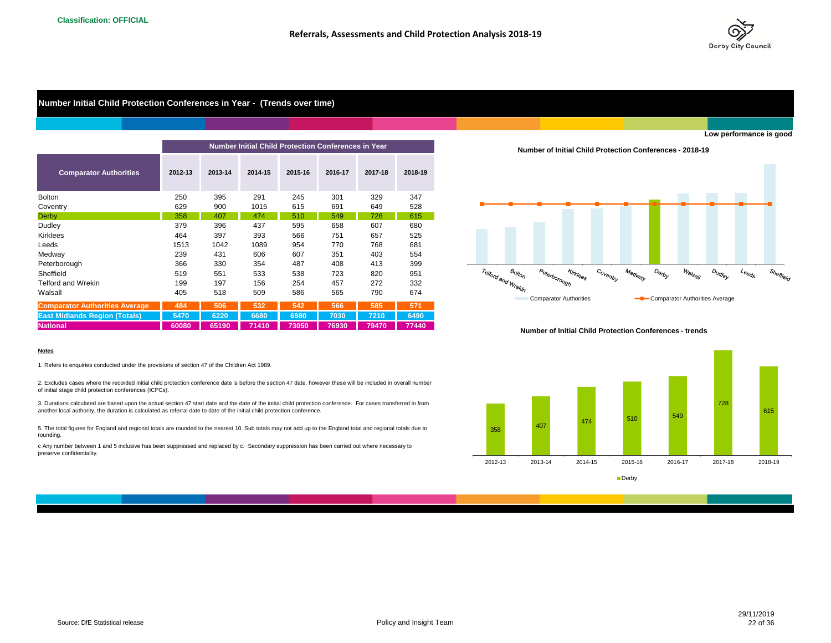

## **Number Initial Child Protection Conferences in Year - (Trends over time)**

|                                       |         |         | <b>Number Initial Child Protection Conferences in Year</b> |         |         |         |         |
|---------------------------------------|---------|---------|------------------------------------------------------------|---------|---------|---------|---------|
| <b>Comparator Authorities</b>         | 2012-13 | 2013-14 | 2014-15                                                    | 2015-16 | 2016-17 | 2017-18 | 2018-19 |
| <b>Bolton</b>                         | 250     | 395     | 291                                                        | 245     | 301     | 329     | 347     |
| Coventry                              | 629     | 900     | 1015                                                       | 615     | 691     | 649     | 528     |
| Derby                                 | 358     | 407     | 474                                                        | 510     | 549     | 728     | 615     |
| Dudley                                | 379     | 396     | 437                                                        | 595     | 658     | 607     | 680     |
| Kirklees                              | 464     | 397     | 393                                                        | 566     | 751     | 657     | 525     |
| Leeds                                 | 1513    | 1042    | 1089                                                       | 954     | 770     | 768     | 681     |
| Medway                                | 239     | 431     | 606                                                        | 607     | 351     | 403     | 554     |
| Peterborough                          | 366     | 330     | 354                                                        | 487     | 408     | 413     | 399     |
| Sheffield                             | 519     | 551     | 533                                                        | 538     | 723     | 820     | 951     |
| <b>Telford and Wrekin</b>             | 199     | 197     | 156                                                        | 254     | 457     | 272     | 332     |
| Walsall                               | 405     | 518     | 509                                                        | 586     | 565     | 790     | 674     |
| <b>Comparator Authorities Average</b> | 484     | 506     | 532                                                        | 542     | 566     | 585     | 571     |
|                                       | 5470    | 6220    | 6680                                                       |         |         |         |         |
| <b>East Midlands Region (Totals)</b>  |         |         |                                                            | 6980    | 7030    | 7210    | 6490    |
| <b>National</b>                       | 60080   | 65190   | 71410                                                      | 73050   | 76930   | 79470   | 77440   |

**Number of Initial Child Protection Conferences - 2018-19**



#### **Number of Initial Child Protection Conferences - trends**



#### **Notes**

1. Refers to enquiries conducted under the provisions of section 47 of the Children Act 1989.

2. Excludes cases where the recorded initial child protection conference date is before the section 47 date, however these will be included in overall number of initial stage child protection conferences (ICPCs).

3. Durations calculated are based upon the actual section 47 start date and the date of the initial child protection conference. For cases transferred in from another local authority, the duration is calculated as referral date to date of the initial child protection conference.

5. The total figures for England and regional totals are rounded to the nearest 10. Sub totals may not add up to the England total and regional totals due to rounding.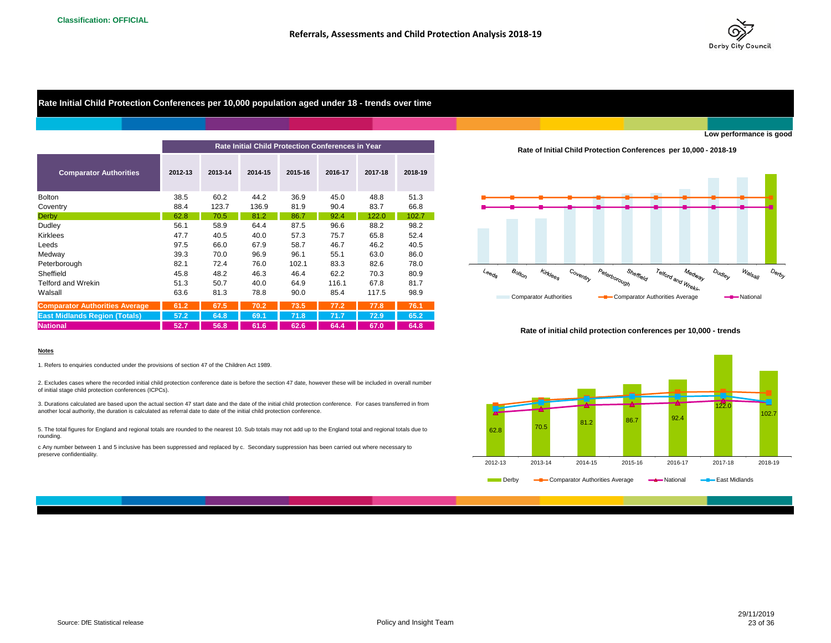

## **Rate Initial Child Protection Conferences per 10,000 population aged under 18 - trends over time**

|                                       |         |         |         |         | Rate Initial Child Protection Conferences in Year | <b>Rate of Initial Child Protection Conferent</b> |         |                                                                                                                   |
|---------------------------------------|---------|---------|---------|---------|---------------------------------------------------|---------------------------------------------------|---------|-------------------------------------------------------------------------------------------------------------------|
| <b>Comparator Authorities</b>         | 2012-13 | 2013-14 | 2014-15 | 2015-16 | 2016-17                                           | 2017-18                                           | 2018-19 |                                                                                                                   |
| <b>Bolton</b>                         | 38.5    | 60.2    | 44.2    | 36.9    | 45.0                                              | 48.8                                              | 51.3    |                                                                                                                   |
| Coventry                              | 88.4    | 123.7   | 136.9   | 81.9    | 90.4                                              | 83.7                                              | 66.8    |                                                                                                                   |
| Derby                                 | 62.8    | 70.5    | 81.2    | 86.7    | 92.4                                              | 122.0                                             | 102.7   |                                                                                                                   |
| Dudley                                | 56.1    | 58.9    | 64.4    | 87.5    | 96.6                                              | 88.2                                              | 98.2    |                                                                                                                   |
| <b>Kirklees</b>                       | 47.7    | 40.5    | 40.0    | 57.3    | 75.7                                              | 65.8                                              | 52.4    |                                                                                                                   |
| Leeds                                 | 97.5    | 66.0    | 67.9    | 58.7    | 46.7                                              | 46.2                                              | 40.5    |                                                                                                                   |
| Medway                                | 39.3    | 70.0    | 96.9    | 96.1    | 55.1                                              | 63.0                                              | 86.0    |                                                                                                                   |
| Peterborough                          | 82.1    | 72.4    | 76.0    | 102.1   | 83.3                                              | 82.6                                              | 78.0    |                                                                                                                   |
| Sheffield                             | 45.8    | 48.2    | 46.3    | 46.4    | 62.2                                              | 70.3                                              | 80.9    | Kirklees<br>$\left. \mathcal{B}_{Oll_{O\eta}}\right.$<br>Coventry<br>Sheffield<br>$\iota_{\Theta_{\Theta_{Q_S}}}$ |
| <b>Telford and Wrekin</b>             | 51.3    | 50.7    | 40.0    | 64.9    | 116.1                                             | 67.8                                              | 81.7    | Peterborough                                                                                                      |
| Walsall                               | 63.6    | 81.3    | 78.8    | 90.0    | 85.4                                              | 117.5                                             | 98.9    | <b>Comparator Authorities</b><br>-Comparator Au                                                                   |
| <b>Comparator Authorities Average</b> | 61.2    | 67.5    | 70.2    | 73.5    | 77.2                                              | 77.8                                              | 76.1    |                                                                                                                   |
| <b>East Midlands Region (Totals)</b>  | 57.2    | 64.8    | 69.1    | 71.8    | 71.7                                              | 72.9                                              | 65.2    |                                                                                                                   |
| <b>National</b>                       | 52.7    | 56.8    | 61.6    | 62.6    | 64.4                                              | 67.0                                              | 64.8    | Dota of initial abild nuctorian conform                                                                           |

**Rate of Initial Child Protection Conferences per 10,000 - 2018-19**



#### **Rate of initial child protection conferences per 10,000 - trends**



#### **Notes**

1. Refers to enquiries conducted under the provisions of section 47 of the Children Act 1989.

2. Excludes cases where the recorded initial child protection conference date is before the section 47 date, however these will be included in overall number of initial stage child protection conferences (ICPCs).

3. Durations calculated are based upon the actual section 47 start date and the date of the initial child protection conference. For cases transferred in from another local authority, the duration is calculated as referral date to date of the initial child protection conference.

5. The total figures for England and regional totals are rounded to the nearest 10. Sub totals may not add up to the England total and regional totals due to rounding.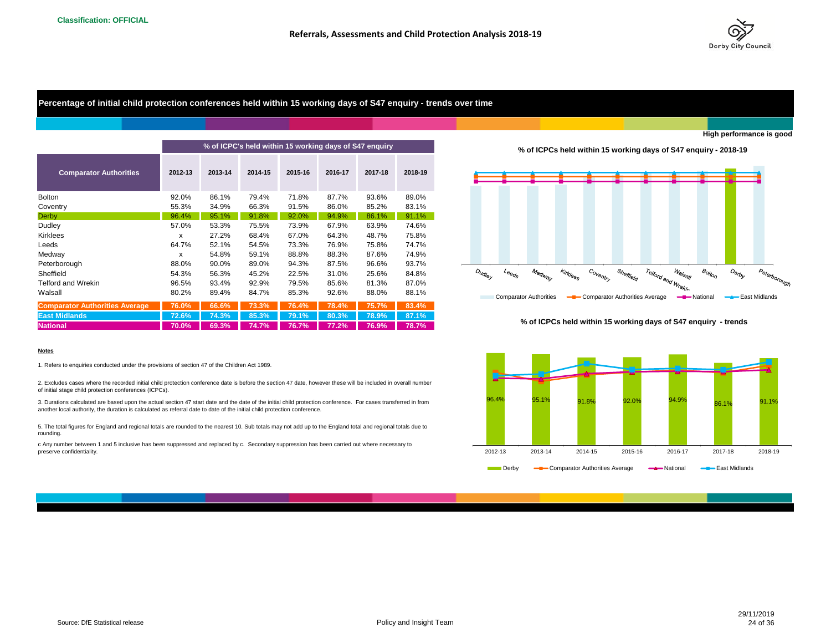

**High performance is good**

**Percentage of initial child protection conferences held within 15 working days of S47 enquiry - trends over time**

|                                       |         | % of ICPC's held within 15 working days of S47 enquiry |         |         |         |         |         |  |  |  |  |
|---------------------------------------|---------|--------------------------------------------------------|---------|---------|---------|---------|---------|--|--|--|--|
| <b>Comparator Authorities</b>         | 2012-13 | 2013-14                                                | 2014-15 | 2015-16 | 2016-17 | 2017-18 | 2018-19 |  |  |  |  |
| <b>Bolton</b>                         | 92.0%   | 86.1%                                                  | 79.4%   | 71.8%   | 87.7%   | 93.6%   | 89.0%   |  |  |  |  |
| Coventry                              | 55.3%   | 34.9%                                                  | 66.3%   | 91.5%   | 86.0%   | 85.2%   | 83.1%   |  |  |  |  |
| <b>Derby</b>                          | 96.4%   | 95.1%                                                  | 91.8%   | 92.0%   | 94.9%   | 86.1%   | 91.1%   |  |  |  |  |
| Dudley                                | 57.0%   | 53.3%                                                  | 75.5%   | 73.9%   | 67.9%   | 63.9%   | 74.6%   |  |  |  |  |
| <b>Kirklees</b>                       | x       | 27.2%                                                  | 68.4%   | 67.0%   | 64.3%   | 48.7%   | 75.8%   |  |  |  |  |
| Leeds                                 | 64.7%   | 52.1%                                                  | 54.5%   | 73.3%   | 76.9%   | 75.8%   | 74.7%   |  |  |  |  |
| Medway                                | x       | 54.8%                                                  | 59.1%   | 88.8%   | 88.3%   | 87.6%   | 74.9%   |  |  |  |  |
| Peterborough                          | 88.0%   | 90.0%                                                  | 89.0%   | 94.3%   | 87.5%   | 96.6%   | 93.7%   |  |  |  |  |
| Sheffield                             | 54.3%   | 56.3%                                                  | 45.2%   | 22.5%   | 31.0%   | 25.6%   | 84.8%   |  |  |  |  |
| Telford and Wrekin                    | 96.5%   | 93.4%                                                  | 92.9%   | 79.5%   | 85.6%   | 81.3%   | 87.0%   |  |  |  |  |
| Walsall                               | 80.2%   | 89.4%                                                  | 84.7%   | 85.3%   | 92.6%   | 88.0%   | 88.1%   |  |  |  |  |
| <b>Comparator Authorities Average</b> | 76.0%   | 66.6%                                                  | 73.3%   | 76.4%   | 78.4%   | 75.7%   | 83.4%   |  |  |  |  |
| <b>East Midlands</b>                  | 72.6%   | 74.3%                                                  | 85.3%   | 79.1%   | 80.3%   | 78.9%   | 87.1%   |  |  |  |  |
| <b>National</b>                       | 70.0%   | 69.3%                                                  | 74.7%   | 76.7%   | 77.2%   | 76.9%   | 78.7%   |  |  |  |  |

**% of ICPCs held within 15 working days of S47 enquiry - 2018-19**



#### **% of ICPCs held within 15 working days of S47 enquiry - trends**



Derby **-B** Comparator Authorities Average -A National -B East Midlands

#### **Notes**

1. Refers to enquiries conducted under the provisions of section 47 of the Children Act 1989.

2. Excludes cases where the recorded initial child protection conference date is before the section 47 date, however these will be included in overall number of initial stage child protection conferences (ICPCs).

3. Durations calculated are based upon the actual section 47 start date and the date of the initial child protection conference. For cases transferred in from another local authority, the duration is calculated as referral date to date of the initial child protection conference.

5. The total figures for England and regional totals are rounded to the nearest 10. Sub totals may not add up to the England total and regional totals due to rounding.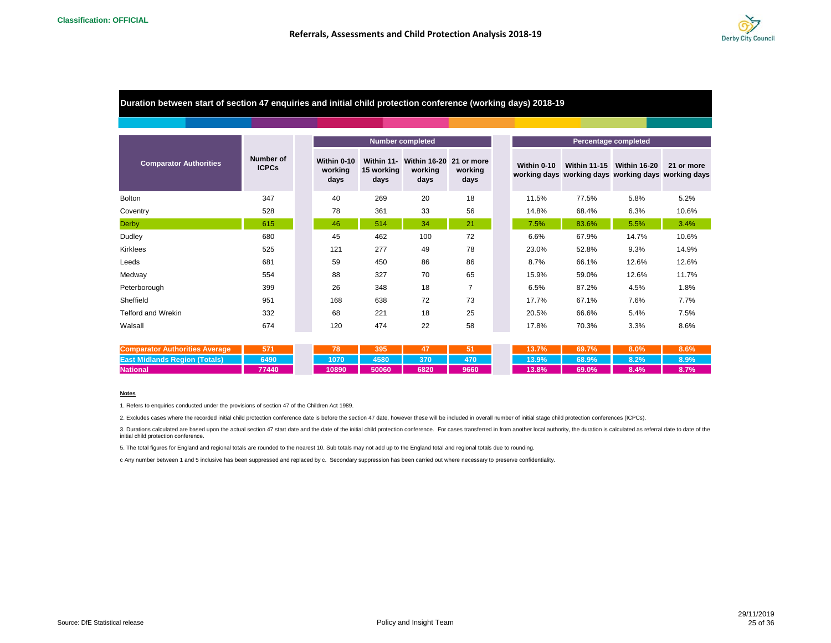

## **Duration between start of section 47 enquiries and initial child protection conference (working days) 2018-19**

|                               |                           |                                |                    | <b>Number completed</b>                               |                 |
|-------------------------------|---------------------------|--------------------------------|--------------------|-------------------------------------------------------|-----------------|
| <b>Comparator Authorities</b> | Number of<br><b>ICPCs</b> | Within 0-10<br>working<br>days | 15 working<br>days | Within 11- Within 16-20 21 or more<br>working<br>days | working<br>days |
| <b>Bolton</b>                 | 347                       | 40                             | 269                | 20                                                    | 18              |
| Coventry                      | 528                       | 78                             | 361                | 33                                                    | 56              |
| <b>Derby</b>                  | 615                       | 46                             | 514                | 34                                                    | 21              |
| Dudley                        | 680                       | 45                             | 462                | 100                                                   | 72              |
| <b>Kirklees</b>               | 525                       | 121                            | 277                | 49                                                    | 78              |
| Leeds                         | 681                       | 59                             | 450                | 86                                                    | 86              |
| Medway                        | 554                       | 88                             | 327                | 70                                                    | 65              |
| Peterborough                  | 399                       | 26                             | 348                | 18                                                    | $\overline{7}$  |
| Sheffield                     | 951                       | 168                            | 638                | 72                                                    | 73              |
| <b>Telford and Wrekin</b>     | 332                       | 68                             | 221                | 18                                                    | 25              |
| Walsall                       | 674                       | 120                            | 474                | 22                                                    | 58              |

| <b>Comparator Authorities Average</b>     |       |       | 395   |                   |      | 13.7% | 69.7%          | $8.0\%$ |      |
|-------------------------------------------|-------|-------|-------|-------------------|------|-------|----------------|---------|------|
| <b>East Midlands Region (Totals) 6490</b> |       |       |       | 1070 4580 370 470 |      |       | $13.9\%$ 68.9% | 8.2%    | 8.9% |
| <b>National</b>                           | 77440 | 10890 | 50060 | 6820              | 9660 | 13.8% | 69.0%          | 8.4%    | 8.7% |

#### **Notes**

1. Refers to enquiries conducted under the provisions of section 47 of the Children Act 1989.

2. Excludes cases where the recorded initial child protection conference date is before the section 47 date, however these will be included in overall number of initial stage child protection conferences (ICPCs).

3. Durations calculated are based upon the actual section 47 start date and the date of the initial child protection conference. For cases transferred in from another local authority, the duration is calculated as referral initial child protection conference.

5. The total figures for England and regional totals are rounded to the nearest 10. Sub totals may not add up to the England total and regional totals due to rounding.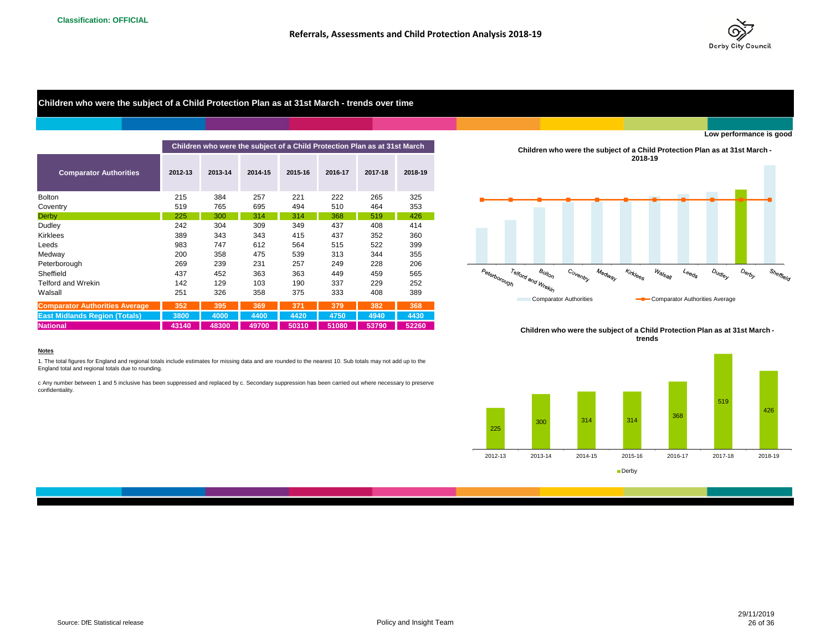

## **Children who were the subject of a Child Protection Plan as at 31st March - trends over time**

|                                       |         |         | Children who were the subject of a Child Protection Plan as at 31st March |         |         |         | Children who were the subject of a Child<br>2018-19 |                                              |
|---------------------------------------|---------|---------|---------------------------------------------------------------------------|---------|---------|---------|-----------------------------------------------------|----------------------------------------------|
| <b>Comparator Authorities</b>         | 2012-13 | 2013-14 | 2014-15                                                                   | 2015-16 | 2016-17 | 2017-18 | 2018-19                                             |                                              |
| <b>Bolton</b>                         | 215     | 384     | 257                                                                       | 221     | 222     | 265     | 325                                                 |                                              |
| Coventry                              | 519     | 765     | 695                                                                       | 494     | 510     | 464     | 353                                                 |                                              |
| Derby                                 | 225     | 300     | 314                                                                       | 314     | 368     | 519     | 426                                                 |                                              |
| Dudley                                | 242     | 304     | 309                                                                       | 349     | 437     | 408     | 414                                                 |                                              |
| Kirklees                              | 389     | 343     | 343                                                                       | 415     | 437     | 352     | 360                                                 |                                              |
| Leeds                                 | 983     | 747     | 612                                                                       | 564     | 515     | 522     | 399                                                 |                                              |
| Medway                                | 200     | 358     | 475                                                                       | 539     | 313     | 344     | 355                                                 |                                              |
| Peterborough                          | 269     | 239     | 231                                                                       | 257     | 249     | 228     | 206                                                 |                                              |
| Sheffield                             | 437     | 452     | 363                                                                       | 363     | 449     | 459     | 565                                                 | Coventry<br>Kirklees<br>Medway               |
| <b>Telford and Wrekin</b>             | 142     | 129     | 103                                                                       | 190     | 337     | 229     | 252                                                 | Telford and Wrekin<br>Peterborough           |
| Walsall                               | 251     | 326     | 358                                                                       | 375     | 333     | 408     | 389                                                 |                                              |
| <b>Comparator Authorities Average</b> | 352     | 395     | 369                                                                       | 371     | 379     | 382     | 368                                                 | <b>Comparator Authorities</b><br>$-c$        |
| <b>East Midlands Region (Totals)</b>  | 3800    | 4000    | 4400                                                                      | 4420    | 4750    | 4940    | 4430                                                |                                              |
| <b>National</b>                       | 43140   | 48300   | 49700                                                                     | 50310   | 51080   | 53790   | 52260                                               | Objective and a more than and to at a family |

**Children who were the subject of a Child Protection Plan as at 31st March - 2018-19**



**Children who were the subject of a Child Protection Plan as at 31st March trends**



#### **Notes**

1. The total figures for England and regional totals include estimates for missing data and are rounded to the nearest 10. Sub totals may not add up to the England total and regional totals due to rounding.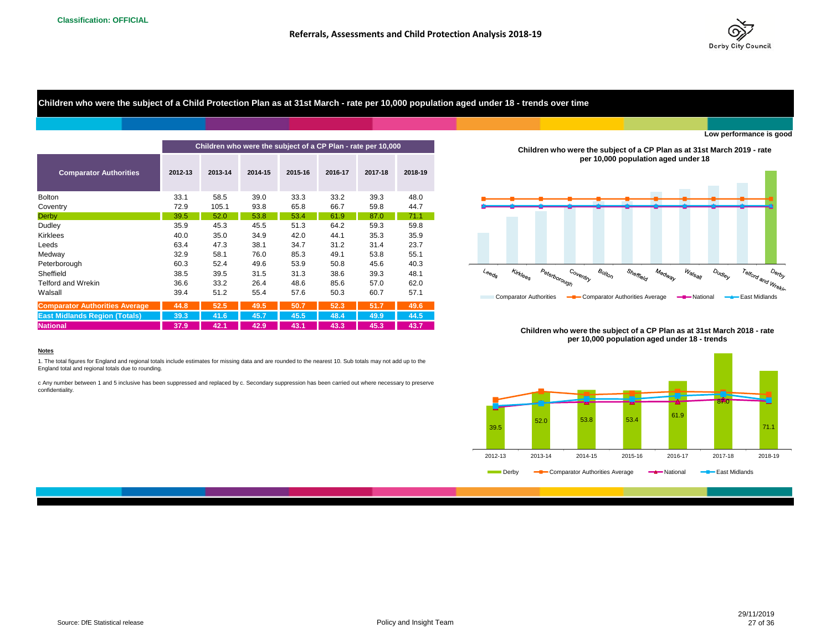

**Children who were the subject of a Child Protection Plan as at 31st March - rate per 10,000 population aged under 18 - trends over time**

|                                       |         |         |         | Children who were the subject of a CP Plan - rate per 10,000 |         |         |         | Children who were the subject of a CP Plan as at 31st March 2019 - rate                                                                                                                                                                                            |
|---------------------------------------|---------|---------|---------|--------------------------------------------------------------|---------|---------|---------|--------------------------------------------------------------------------------------------------------------------------------------------------------------------------------------------------------------------------------------------------------------------|
| <b>Comparator Authorities</b>         | 2012-13 | 2013-14 | 2014-15 | 2015-16                                                      | 2016-17 | 2017-18 | 2018-19 | per 10,000 population aged under 18                                                                                                                                                                                                                                |
| <b>Bolton</b>                         | 33.1    | 58.5    | 39.0    | 33.3                                                         | 33.2    | 39.3    | 48.0    |                                                                                                                                                                                                                                                                    |
| Coventry                              | 72.9    | 105.1   | 93.8    | 65.8                                                         | 66.7    | 59.8    | 44.7    |                                                                                                                                                                                                                                                                    |
| <b>Derby</b>                          | 39.5    | 52.0    | 53.8    | 53.4                                                         | 61.9    | 87.0    | 71.1    |                                                                                                                                                                                                                                                                    |
| Dudley                                | 35.9    | 45.3    | 45.5    | 51.3                                                         | 64.2    | 59.3    | 59.8    |                                                                                                                                                                                                                                                                    |
| <b>Kirklees</b>                       | 40.0    | 35.0    | 34.9    | 42.0                                                         | 44.1    | 35.3    | 35.9    |                                                                                                                                                                                                                                                                    |
| Leeds                                 | 63.4    | 47.3    | 38.1    | 34.7                                                         | 31.2    | 31.4    | 23.7    |                                                                                                                                                                                                                                                                    |
| Medway                                | 32.9    | 58.1    | 76.0    | 85.3                                                         | 49.1    | 53.8    | 55.1    |                                                                                                                                                                                                                                                                    |
| Peterborough                          | 60.3    | 52.4    | 49.6    | 53.9                                                         | 50.8    | 45.6    | 40.3    |                                                                                                                                                                                                                                                                    |
| Sheffield                             | 38.5    | 39.5    | 31.5    | 31.3                                                         | 38.6    | 39.3    | 48.1    | Peterborough<br><b>Kirklees</b><br>$B_{O/t_{O/\gamma}}$<br>$W_{\widehat{\bm{q}}/\mathcal{S}_{\widehat{\bm{q}}/\mathcal{U}}}$<br>Telford and VVI.<br>Sheffield<br>$O_{U_{\mathcal{G}/\mathcal{C}}_{\mathcal{Y}}}$<br>Coventry<br>Medway<br>$4\epsilon_{\Theta Q_S}$ |
| Telford and Wrekin                    | 36.6    | 33.2    | 26.4    | 48.6                                                         | 85.6    | 57.0    | 62.0    |                                                                                                                                                                                                                                                                    |
| Walsall                               | 39.4    | 51.2    | 55.4    | 57.6                                                         | 50.3    | 60.7    | 57.1    | <b>Comparator Authorities</b><br>Comparator Authorities Average<br>-Mational<br>East Midlands                                                                                                                                                                      |
| <b>Comparator Authorities Average</b> | 44.8    | 52.5    | 49.5    | 50.7                                                         | 52.3    | 51.7    | 49.6    |                                                                                                                                                                                                                                                                    |
| <b>East Midlands Region (Totals)</b>  | 39.3    | 41.6    | 45.7    | 45.5                                                         | 48.4    | 49.9    | 44.5    |                                                                                                                                                                                                                                                                    |
| <b>National</b>                       | 37.9    | 42.1    | 42.9    | 43.1                                                         | 43.3    | 45.3    | 43.7    | Children who were the subject of a CD Plan as at 31st March 2018 - rate                                                                                                                                                                                            |

**Children who were the subject of a CP Plan as at 31st March 2019 - rate per 10,000 population aged under 18**



**Children who were the subject of a CP Plan as at 31st March 2018 - rate per 10,000 population aged under 18 - trends**



#### **Notes**

1. The total figures for England and regional totals include estimates for missing data and are rounded to the nearest 10. Sub totals may not add up to the England total and regional totals due to rounding.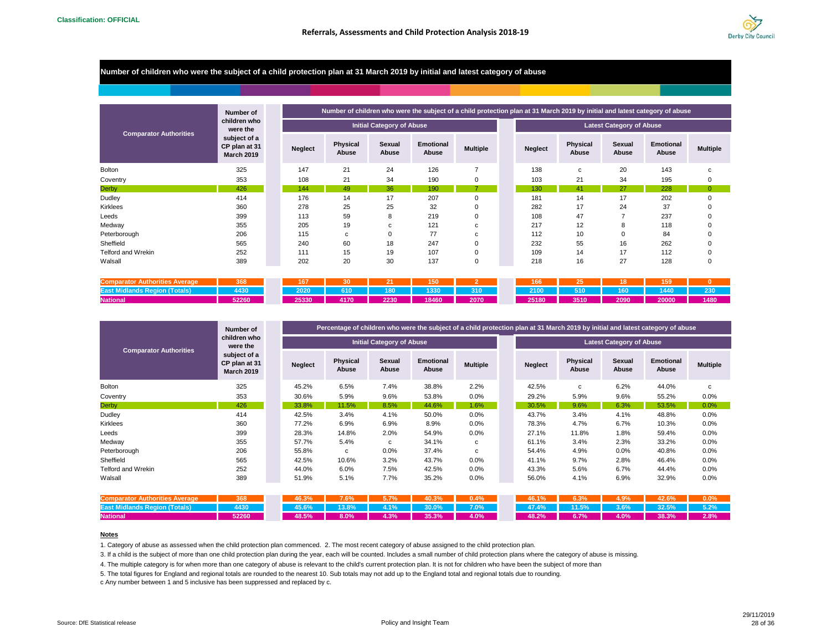

#### **Number of children who were the subject of a child protection plan at 31 March 2019 by initial and latest category of abuse**

|                               | Number of                                          |                |                   |                                  |                           |                 |                |                          |                                 | Number of children who were the subject of a child protection plan at 31 March 2019 by initial and latest category of abuse |                 |
|-------------------------------|----------------------------------------------------|----------------|-------------------|----------------------------------|---------------------------|-----------------|----------------|--------------------------|---------------------------------|-----------------------------------------------------------------------------------------------------------------------------|-----------------|
|                               | children who<br>were the                           |                |                   | <b>Initial Category of Abuse</b> |                           |                 |                |                          | <b>Latest Category of Abuse</b> |                                                                                                                             |                 |
| <b>Comparator Authorities</b> | subject of a<br>CP plan at 31<br><b>March 2019</b> | <b>Neglect</b> | Physical<br>Abuse | Sexual<br>Abuse                  | <b>Emotional</b><br>Abuse | <b>Multiple</b> | <b>Neglect</b> | <b>Physical</b><br>Abuse | Sexual<br>Abuse                 | Emotional<br>Abuse                                                                                                          | <b>Multiple</b> |
| <b>Bolton</b>                 | 325                                                | 147            | 21                | 24                               | 126                       | $\overline{ }$  | 138            | c                        | 20                              | 143                                                                                                                         |                 |
| Coventry                      | 353                                                | 108            | 21                | 34                               | 190                       | 0               | 103            | 21                       | 34                              | 195                                                                                                                         | 0               |
| Derby                         | 426                                                | 144            | 49                | 36                               | 190                       |                 | 130            | 41                       | 27                              | 228                                                                                                                         |                 |
| Dudley                        | 414                                                | 176            | 14                | 17                               | 207                       | 0               | 181            | 14                       | 17                              | 202                                                                                                                         |                 |
| Kirklees                      | 360                                                | 278            | 25                | 25                               | 32                        | 0               | 282            | 17                       | 24                              | 37                                                                                                                          |                 |
| Leeds                         | 399                                                | 113            | 59                | 8                                | 219                       | 0               | 108            | 47                       |                                 | 237                                                                                                                         |                 |
| Medway                        | 355                                                | 205            | 19                | с                                | 121                       | с               | 217            | 12                       | 8                               | 118                                                                                                                         |                 |
| Peterborough                  | 206                                                | 115            | c                 | $\mathbf 0$                      | 77                        | c               | 112            | 10                       | $\Omega$                        | 84                                                                                                                          |                 |
| Sheffield                     | 565                                                | 240            | 60                | 18                               | 247                       | 0               | 232            | 55                       | 16                              | 262                                                                                                                         | 0               |
| Telford and Wrekin            | 252                                                | 111            | 15                | 19                               | 107                       | 0               | 109            | 14                       | 17                              | 112                                                                                                                         | $\Omega$        |
| Walsall                       | 389                                                | 202            | 20                | 30                               | 137                       | 0               | 218            | 16                       | 27                              | 128                                                                                                                         | ŋ               |

| <b>Comparator Authorities Average</b> |       |  | 167 30 21 30               |  |  | 166 25 48 159             |  |  |
|---------------------------------------|-------|--|----------------------------|--|--|---------------------------|--|--|
|                                       |       |  |                            |  |  | 2100 510 160 1440 230     |  |  |
| <b>National</b>                       | 52260 |  | 25330 4170 2230 48460 2070 |  |  | 25180 3510 2090 2000 1480 |  |  |

|                               | Number of                                          |                |                   |                                  | Percentage of children who were the subject of a child protection plan at 31 March 2019 by initial and latest category of abuse |                 |                |                          |                                 |                           |                 |
|-------------------------------|----------------------------------------------------|----------------|-------------------|----------------------------------|---------------------------------------------------------------------------------------------------------------------------------|-----------------|----------------|--------------------------|---------------------------------|---------------------------|-----------------|
|                               | children who<br>were the                           |                |                   | <b>Initial Category of Abuse</b> |                                                                                                                                 |                 |                |                          | <b>Latest Category of Abuse</b> |                           |                 |
| <b>Comparator Authorities</b> | subject of a<br>CP plan at 31<br><b>March 2019</b> | <b>Neglect</b> | Physical<br>Abuse | Sexual<br>Abuse                  | <b>Emotional</b><br>Abuse                                                                                                       | <b>Multiple</b> | <b>Neglect</b> | <b>Physical</b><br>Abuse | Sexual<br>Abuse                 | <b>Emotional</b><br>Abuse | <b>Multiple</b> |
| <b>Bolton</b>                 | 325                                                | 45.2%          | 6.5%              | 7.4%                             | 38.8%                                                                                                                           | 2.2%            | 42.5%          | C                        | 6.2%                            | 44.0%                     | c               |
| Coventry                      | 353                                                | 30.6%          | 5.9%              | 9.6%                             | 53.8%                                                                                                                           | 0.0%            | 29.2%          | 5.9%                     | 9.6%                            | 55.2%                     | 0.0%            |
| <b>Derby</b>                  | 426                                                | 33.8%          | 11.5%             | 8.5%                             | 44.6%                                                                                                                           | 1.6%            | 30.5%          | 9.6%                     | 6.3%                            | 53.5%                     | 0.0%            |
| Dudley                        | 414                                                | 42.5%          | 3.4%              | 4.1%                             | 50.0%                                                                                                                           | $0.0\%$         | 43.7%          | 3.4%                     | 4.1%                            | 48.8%                     | $0.0\%$         |
| <b>Kirklees</b>               | 360                                                | 77.2%          | 6.9%              | 6.9%                             | 8.9%                                                                                                                            | 0.0%            | 78.3%          | 4.7%                     | 6.7%                            | 10.3%                     | 0.0%            |
| Leeds                         | 399                                                | 28.3%          | 14.8%             | 2.0%                             | 54.9%                                                                                                                           | 0.0%            | 27.1%          | 11.8%                    | 1.8%                            | 59.4%                     | 0.0%            |
| Medway                        | 355                                                | 57.7%          | 5.4%              | C                                | 34.1%                                                                                                                           | c               | 61.1%          | 3.4%                     | 2.3%                            | 33.2%                     | 0.0%            |
| Peterborough                  | 206                                                | 55.8%          | c                 | 0.0%                             | 37.4%                                                                                                                           | c               | 54.4%          | 4.9%                     | 0.0%                            | 40.8%                     | 0.0%            |
| Sheffield                     | 565                                                | 42.5%          | 10.6%             | 3.2%                             | 43.7%                                                                                                                           | 0.0%            | 41.1%          | 9.7%                     | 2.8%                            | 46.4%                     | 0.0%            |
| <b>Telford and Wrekin</b>     | 252                                                | 44.0%          | 6.0%              | 7.5%                             | 42.5%                                                                                                                           | 0.0%            | 43.3%          | 5.6%                     | 6.7%                            | 44.4%                     | 0.0%            |
| Walsall                       | 389                                                | 51.9%          | 5.1%              | 7.7%                             | 35.2%                                                                                                                           | 0.0%            | 56.0%          | 4.1%                     | 6.9%                            | 32.9%                     | 0.0%            |

|                                                                                                                                                                                                                                      | $\frac{1}{2}$ 368 |  |                            |  |  |  | 46.1% 6.3% 4.9% 42.6% 0.0%  |  |
|--------------------------------------------------------------------------------------------------------------------------------------------------------------------------------------------------------------------------------------|-------------------|--|----------------------------|--|--|--|-----------------------------|--|
| <b>East Midlands Region (Totals) 1996 12:30 12:4430 12:4430 12:4430 12:4430 12:4430 12:4430 12:4430 12:4430 12:4430 12:4430 12:4430 12:4430 12:4430 12:4430 12:4430 12:4430 12:4430 12:4430 12:4430 12:4430 12:4430 12:4430 12:4</b> |                   |  |                            |  |  |  | 47.4% 11.5% 3.6% 32.5% 5.2% |  |
| <b>National</b>                                                                                                                                                                                                                      | 52260             |  | 48.5% 8.0% 4.3% 35.3% 4.0% |  |  |  | 48.2% 6.7% 4.0% 38.3% 2.8%  |  |

#### **Notes**

1. Category of abuse as assessed when the child protection plan commenced. 2. The most recent category of abuse assigned to the child protection plan.

3. If a child is the subject of more than one child protection plan during the year, each will be counted. Includes a small number of child protection plans where the category of abuse is missing.

4. The multiple category is for when more than one category of abuse is relevant to the child's current protection plan. It is not for children who have been the subject of more than

5. The total figures for England and regional totals are rounded to the nearest 10. Sub totals may not add up to the England total and regional totals due to rounding.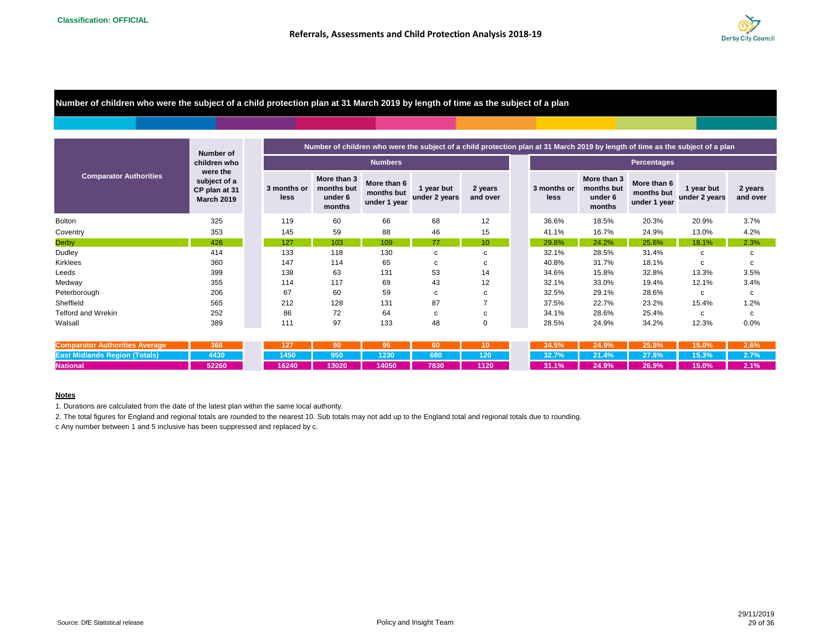

**Number of children who were the subject of a child protection plan at 31 March 2019 by length of time as the subject of a plan**

|                                       | Number of                                                      |                     |                                                |                                           | Number of children who were the subject of a child protection plan at 31 March 2019 by length of time as the subject of a plan |                     |                     |                                                |                                           |                             |                     |
|---------------------------------------|----------------------------------------------------------------|---------------------|------------------------------------------------|-------------------------------------------|--------------------------------------------------------------------------------------------------------------------------------|---------------------|---------------------|------------------------------------------------|-------------------------------------------|-----------------------------|---------------------|
|                                       | children who                                                   |                     |                                                | <b>Numbers</b>                            |                                                                                                                                |                     |                     |                                                | Percentages                               |                             |                     |
| <b>Comparator Authorities</b>         | were the<br>subject of a<br>CP plan at 31<br><b>March 2019</b> | 3 months or<br>less | More than 3<br>months but<br>under 6<br>months | More than 6<br>months but<br>under 1 year | 1 year but<br>under 2 years                                                                                                    | 2 years<br>and over | 3 months or<br>less | More than 3<br>months but<br>under 6<br>months | More than 6<br>months but<br>under 1 year | 1 year but<br>under 2 years | 2 years<br>and over |
| <b>Bolton</b>                         | 325                                                            | 119                 | 60                                             | 66                                        | 68                                                                                                                             | 12                  | 36.6%               | 18.5%                                          | 20.3%                                     | 20.9%                       | 3.7%                |
| Coventry                              | 353                                                            | 145                 | 59                                             | 88                                        | 46                                                                                                                             | 15                  | 41.1%               | 16.7%                                          | 24.9%                                     | 13.0%                       | 4.2%                |
| <b>Derby</b>                          | 426                                                            | 127                 | 103                                            | 109                                       | 77                                                                                                                             | 10                  | 29.8%               | 24.2%                                          | 25.6%                                     | 18.1%                       | 2.3%                |
| Dudley                                | 414                                                            | 133                 | 118                                            | 130                                       | с                                                                                                                              | c                   | 32.1%               | 28.5%                                          | 31.4%                                     | c                           | с                   |
| Kirklees                              | 360                                                            | 147                 | 114                                            | 65                                        | с                                                                                                                              | c                   | 40.8%               | 31.7%                                          | 18.1%                                     | c                           | с                   |
| Leeds                                 | 399                                                            | 138                 | 63                                             | 131                                       | 53                                                                                                                             | 14                  | 34.6%               | 15.8%                                          | 32.8%                                     | 13.3%                       | 3.5%                |
| Medway                                | 355                                                            | 114                 | 117                                            | 69                                        | 43                                                                                                                             | 12                  | 32.1%               | 33.0%                                          | 19.4%                                     | 12.1%                       | 3.4%                |
| Peterborough                          | 206                                                            | 67                  | 60                                             | 59                                        | c                                                                                                                              | c                   | 32.5%               | 29.1%                                          | 28.6%                                     | C                           | c                   |
| Sheffield                             | 565                                                            | 212                 | 128                                            | 131                                       | 87                                                                                                                             | $\overline{7}$      | 37.5%               | 22.7%                                          | 23.2%                                     | 15.4%                       | 1.2%                |
| Telford and Wrekin                    | 252                                                            | 86                  | 72                                             | 64                                        | c                                                                                                                              | c                   | 34.1%               | 28.6%                                          | 25.4%                                     | c                           | с                   |
| Walsall                               | 389                                                            | 111                 | 97                                             | 133                                       | 48                                                                                                                             | 0                   | 28.5%               | 24.9%                                          | 34.2%                                     | 12.3%                       | 0.0%                |
|                                       |                                                                |                     |                                                |                                           |                                                                                                                                |                     |                     |                                                |                                           |                             |                     |
| <b>Comparator Authorities Average</b> | 368                                                            | 127                 | 90                                             | 95                                        | 60                                                                                                                             | 10                  | 34.5%               | 24.9%                                          | 25.8%                                     | 15.0%                       | 2.6%                |
| <b>East Midlands Region (Totals)</b>  | 4430                                                           | 1450                | 950                                            | 1230                                      | 680                                                                                                                            | 120                 | 32.7%               | 21.4%                                          | 27.8%                                     | 15.3%                       | 2.7%                |
| <b>National</b>                       | 52260                                                          | 16240               | 13020                                          | 14050                                     | 7830                                                                                                                           | 1120                | 31.1%               | 24.9%                                          | 26.9%                                     | 15.0%                       | 2.1%                |

#### **Notes**

1. Durations are calculated from the date of the latest plan within the same local authority.

2. The total figures for England and regional totals are rounded to the nearest 10. Sub totals may not add up to the England total and regional totals due to rounding.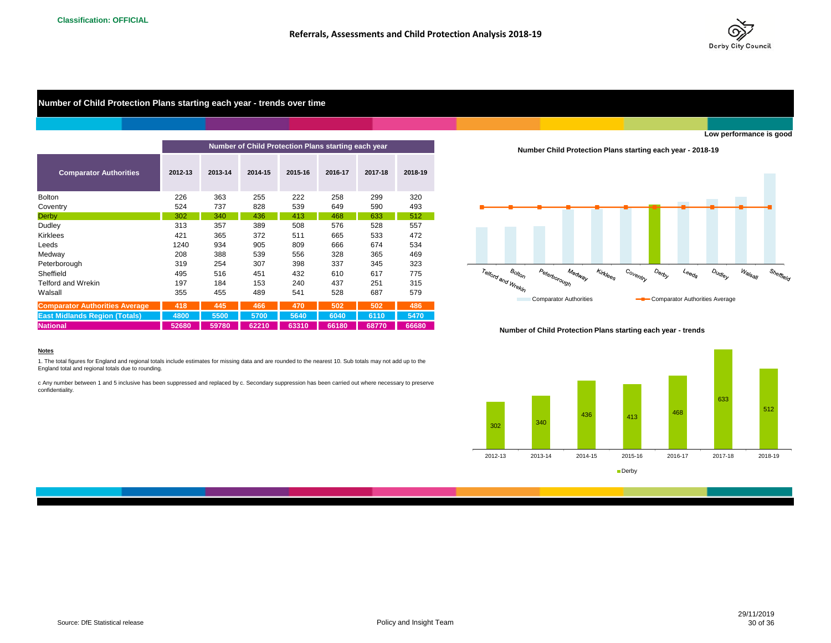

## **Number of Child Protection Plans starting each year - trends over time**

|                                       |         |         | Number of Child Protection Plans starting each year |         |         |         |         |
|---------------------------------------|---------|---------|-----------------------------------------------------|---------|---------|---------|---------|
| <b>Comparator Authorities</b>         | 2012-13 | 2013-14 | 2014-15                                             | 2015-16 | 2016-17 | 2017-18 | 2018-19 |
| Bolton                                | 226     | 363     | 255                                                 | 222     | 258     | 299     | 320     |
| Coventry                              | 524     | 737     | 828                                                 | 539     | 649     | 590     | 493     |
| Derby                                 | 302     | 340     | 436                                                 | 413     | 468     | 633     | 512     |
| Dudley                                | 313     | 357     | 389                                                 | 508     | 576     | 528     | 557     |
| <b>Kirklees</b>                       | 421     | 365     | 372                                                 | 511     | 665     | 533     | 472     |
| Leeds                                 | 1240    | 934     | 905                                                 | 809     | 666     | 674     | 534     |
| Medway                                | 208     | 388     | 539                                                 | 556     | 328     | 365     | 469     |
| Peterborough                          | 319     | 254     | 307                                                 | 398     | 337     | 345     | 323     |
| Sheffield                             | 495     | 516     | 451                                                 | 432     | 610     | 617     | 775     |
| <b>Telford and Wrekin</b>             | 197     | 184     | 153                                                 | 240     | 437     | 251     | 315     |
| Walsall                               | 355     | 455     | 489                                                 | 541     | 528     | 687     | 579     |
| <b>Comparator Authorities Average</b> | 418     | 445     | 466                                                 | 470     | 502     | 502     | 486     |
| <b>East Midlands Region (Totals)</b>  | 4800    | 5500    | 5700                                                | 5640    | 6040    | 6110    | 5470    |
| <b>National</b>                       | 52680   | 59780   | 62210                                               | 63310   | 66180   | 68770   | 66680   |

**Number Child Protection Plans starting each year - 2018-19**



**Number of Child Protection Plans starting each year - trends**



#### **Notes**

1. The total figures for England and regional totals include estimates for missing data and are rounded to the nearest 10. Sub totals may not add up to the England total and regional totals due to rounding.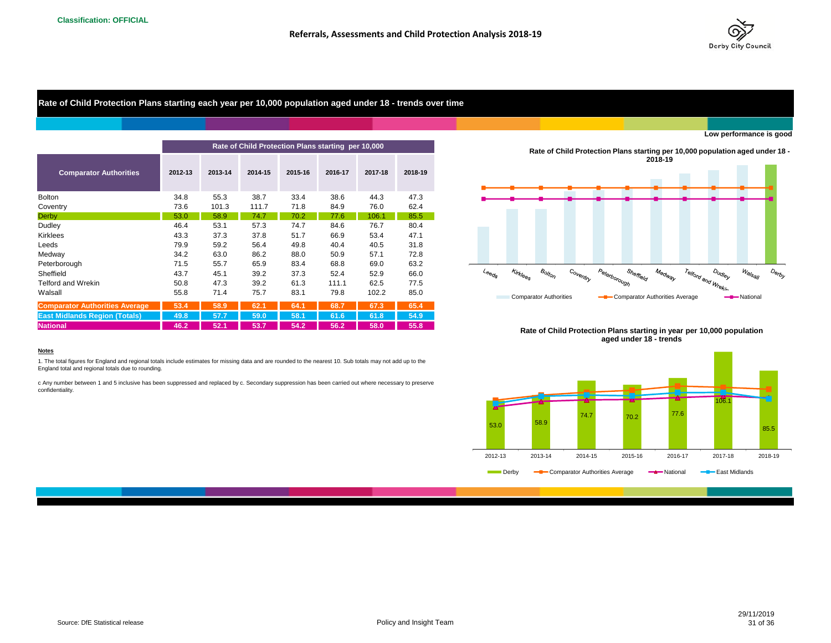

**Rate of Child Protection Plans starting each year per 10,000 population aged under 18 - trends over time**

|                                       |         |         |         |         | Rate of Child Protection Plans starting per 10,000 |         |         |                                                  |          |                               |                      |              | <b>Rate of Child Protection Plans startion</b> |
|---------------------------------------|---------|---------|---------|---------|----------------------------------------------------|---------|---------|--------------------------------------------------|----------|-------------------------------|----------------------|--------------|------------------------------------------------|
| <b>Comparator Authorities</b>         | 2012-13 | 2013-14 | 2014-15 | 2015-16 | 2016-17                                            | 2017-18 | 2018-19 |                                                  |          |                               |                      |              | 20                                             |
| <b>Bolton</b>                         | 34.8    | 55.3    | 38.7    | 33.4    | 38.6                                               | 44.3    | 47.3    |                                                  |          |                               |                      |              |                                                |
| Coventry                              | 73.6    | 101.3   | 111.7   | 71.8    | 84.9                                               | 76.0    | 62.4    |                                                  |          |                               |                      |              |                                                |
| <b>Derby</b>                          | 53.0    | 58.9    | 74.7    | 70.2    | 77.6                                               | 106.1   | 85.5    |                                                  |          |                               |                      |              |                                                |
| Dudley                                | 46.4    | 53.1    | 57.3    | 74.7    | 84.6                                               | 76.7    | 80.4    |                                                  |          |                               |                      |              |                                                |
| Kirklees                              | 43.3    | 37.3    | 37.8    | 51.7    | 66.9                                               | 53.4    | 47.1    |                                                  |          |                               |                      |              |                                                |
| Leeds                                 | 79.9    | 59.2    | 56.4    | 49.8    | 40.4                                               | 40.5    | 31.8    |                                                  |          |                               |                      |              |                                                |
| Medway                                | 34.2    | 63.0    | 86.2    | 88.0    | 50.9                                               | 57.1    | 72.8    |                                                  |          |                               |                      |              |                                                |
| Peterborough                          | 71.5    | 55.7    | 65.9    | 83.4    | 68.8                                               | 69.0    | 63.2    |                                                  |          |                               |                      |              |                                                |
| Sheffield                             | 43.7    | 45.1    | 39.2    | 37.3    | 52.4                                               | 52.9    | 66.0    | $\mathcal{L}_{\Theta \Theta_{Q'_{\mathcal{S}}}}$ | Kirklees | $B_{OllO}$                    | Co <sub>ventry</sub> |              | Sheffield                                      |
| <b>Telford and Wrekin</b>             | 50.8    | 47.3    | 39.2    | 61.3    | 111.1                                              | 62.5    | 77.5    |                                                  |          |                               |                      | Peterborough |                                                |
| Walsall                               | 55.8    | 71.4    | 75.7    | 83.1    | 79.8                                               | 102.2   | 85.0    |                                                  |          | <b>Comparator Authorities</b> |                      |              | -Comparator Au                                 |
| <b>Comparator Authorities Average</b> | 53.4    | 58.9    | 62.1    | 64.1    | 68.7                                               | 67.3    | 65.4    |                                                  |          |                               |                      |              |                                                |
| <b>East Midlands Region (Totals)</b>  | 49.8    | 57.7    | 59.0    | 58.1    | 61.6                                               | 61.8    | 54.9    |                                                  |          |                               |                      |              |                                                |
| <b>National</b>                       | 46.2    | 52.1    | 53.7    | 54.2    | 56.2                                               | 58.0    | 55.8    |                                                  |          |                               |                      |              | Rato of Child Protection Plane startin         |

**Low performance is good**







#### **Notes**

1. The total figures for England and regional totals include estimates for missing data and are rounded to the nearest 10. Sub totals may not add up to the England total and regional totals due to rounding.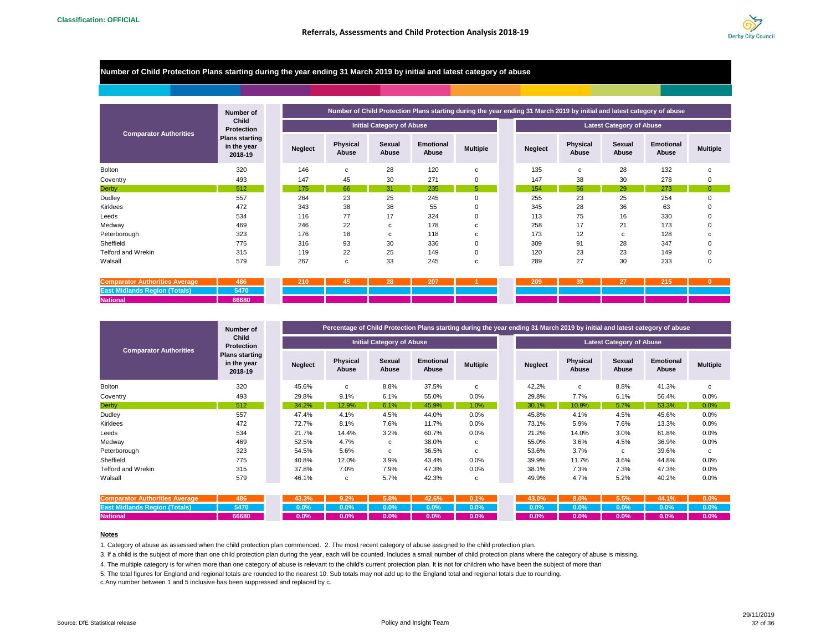

### **Number of Child Protection Plans starting during the year ending 31 March 2019 by initial and latest category of abuse**

|                               | Number of                                       |                |                   |                                  | Number of Child Protection Plans starting during the year ending 31 March 2019 by initial and latest category of abuse |                 |
|-------------------------------|-------------------------------------------------|----------------|-------------------|----------------------------------|------------------------------------------------------------------------------------------------------------------------|-----------------|
|                               | Child<br>Protection                             |                |                   | <b>Initial Category of Abuse</b> |                                                                                                                        |                 |
| <b>Comparator Authorities</b> | <b>Plans starting</b><br>in the year<br>2018-19 | <b>Neglect</b> | Physical<br>Abuse | Sexual<br>Abuse                  | <b>Emotional</b><br>Abuse                                                                                              | <b>Multiple</b> |
| <b>Bolton</b>                 | 320                                             | 146            | $\mathbf{c}$      | 28                               | 120                                                                                                                    | с               |
| Coventry                      | 493                                             | 147            | 45                | 30                               | 271                                                                                                                    | 0               |
| <b>Derby</b>                  | 512                                             | 175            | 66                | 31                               | 235                                                                                                                    | 5               |
| Dudley                        | 557                                             | 264            | 23                | 25                               | 245                                                                                                                    | 0               |
| Kirklees                      | 472                                             | 343            | 38                | 36                               | 55                                                                                                                     | 0               |
| Leeds                         | 534                                             | 116            | 77                | 17                               | 324                                                                                                                    | 0               |
| Medway                        | 469                                             | 246            | 22                | с                                | 178                                                                                                                    | с               |
| Peterborough                  | 323                                             | 176            | 18                | с                                | 118                                                                                                                    | с               |
| Sheffield                     | 775                                             | 316            | 93                | 30                               | 336                                                                                                                    | 0               |
| Telford and Wrekin            | 315                                             | 119            | 22                | 25                               | 149                                                                                                                    | 0               |
| Walsall                       | 579                                             | 267            | c                 | 33                               | 245                                                                                                                    | c               |

| Comparator<br>r Authorities Average       | 486   | 210 | 28 | 207 |  | 209 | 120 | -- | <b>OAR</b><br>215 |  |
|-------------------------------------------|-------|-----|----|-----|--|-----|-----|----|-------------------|--|
| <b>East N</b><br>Midiands Region (Totals) | 5470  |     |    |     |  |     |     |    |                   |  |
| <b>National</b>                           | 66680 |     |    |     |  |     |     |    |                   |  |

|                               | Number of                                       |                |                   |                                  |                           |                 |                |                          |                                 | Percentage of Child Protection Plans starting during the year ending 31 March 2019 by initial and latest category of abuse |                 |
|-------------------------------|-------------------------------------------------|----------------|-------------------|----------------------------------|---------------------------|-----------------|----------------|--------------------------|---------------------------------|----------------------------------------------------------------------------------------------------------------------------|-----------------|
|                               | Child<br><b>Protection</b>                      |                |                   | <b>Initial Category of Abuse</b> |                           |                 |                |                          | <b>Latest Category of Abuse</b> |                                                                                                                            |                 |
| <b>Comparator Authorities</b> | <b>Plans starting</b><br>in the year<br>2018-19 | <b>Neglect</b> | Physical<br>Abuse | Sexual<br>Abuse                  | <b>Emotional</b><br>Abuse | <b>Multiple</b> | <b>Neglect</b> | <b>Physical</b><br>Abuse | Sexual<br>Abuse                 | <b>Emotional</b><br>Abuse                                                                                                  | <b>Multiple</b> |
| <b>Bolton</b>                 | 320                                             | 45.6%          | C                 | 8.8%                             | 37.5%                     | c               | 42.2%          | C                        | 8.8%                            | 41.3%                                                                                                                      | c               |
| Coventry                      | 493                                             | 29.8%          | 9.1%              | 6.1%                             | 55.0%                     | 0.0%            | 29.8%          | 7.7%                     | 6.1%                            | 56.4%                                                                                                                      | 0.0%            |
| <b>Derby</b>                  | 512                                             | 34.2%          | 12.9%             | 6.1%                             | 45.9%                     | 1.0%            | 30.1%          | 10.9%                    | 5.7%                            | 53.3%                                                                                                                      | 0.0%            |
| Dudley                        | 557                                             | 47.4%          | 4.1%              | 4.5%                             | 44.0%                     | 0.0%            | 45.8%          | 4.1%                     | 4.5%                            | 45.6%                                                                                                                      | 0.0%            |
| Kirklees                      | 472                                             | 72.7%          | 8.1%              | 7.6%                             | 11.7%                     | 0.0%            | 73.1%          | 5.9%                     | 7.6%                            | 13.3%                                                                                                                      | 0.0%            |
| Leeds                         | 534                                             | 21.7%          | 14.4%             | 3.2%                             | 60.7%                     | $0.0\%$         | 21.2%          | 14.0%                    | 3.0%                            | 61.8%                                                                                                                      | 0.0%            |
| Medway                        | 469                                             | 52.5%          | 4.7%              | c                                | 38.0%                     | c               | 55.0%          | 3.6%                     | 4.5%                            | 36.9%                                                                                                                      | 0.0%            |
| Peterborough                  | 323                                             | 54.5%          | 5.6%              | c                                | 36.5%                     | c               | 53.6%          | 3.7%                     | c                               | 39.6%                                                                                                                      | c               |
| Sheffield                     | 775                                             | 40.8%          | 12.0%             | 3.9%                             | 43.4%                     | 0.0%            | 39.9%          | 11.7%                    | 3.6%                            | 44.8%                                                                                                                      | 0.0%            |
| Telford and Wrekin            | 315                                             | 37.8%          | 7.0%              | 7.9%                             | 47.3%                     | 0.0%            | 38.1%          | 7.3%                     | 7.3%                            | 47.3%                                                                                                                      | 0.0%            |
| Walsall                       | 579                                             | 46.1%          | c                 | 5.7%                             | 42.3%                     | c               | 49.9%          | 4.7%                     | 5.2%                            | 40.2%                                                                                                                      | 0.0%            |

|                                                |       |  | 43.3% 9.2% 5.8% 42.6% 0.1% |  |  |  | 43.0% 8.0% 5.5% 44.1% 0.0%       |  |
|------------------------------------------------|-------|--|----------------------------|--|--|--|----------------------------------|--|
| <b>East Midlands Region (Totals) 5470 1288</b> |       |  |                            |  |  |  |                                  |  |
| <b>National</b>                                | 66680 |  |                            |  |  |  | $0.0\%$ 0.0% 0.0% 0.0% 0.0% 0.0% |  |

#### **Notes**

1. Category of abuse as assessed when the child protection plan commenced. 2. The most recent category of abuse assigned to the child protection plan.

3. If a child is the subject of more than one child protection plan during the year, each will be counted. Includes a small number of child protection plans where the category of abuse is missing.

4. The multiple category is for when more than one category of abuse is relevant to the child's current protection plan. It is not for children who have been the subject of more than

5. The total figures for England and regional totals are rounded to the nearest 10. Sub totals may not add up to the England total and regional totals due to rounding.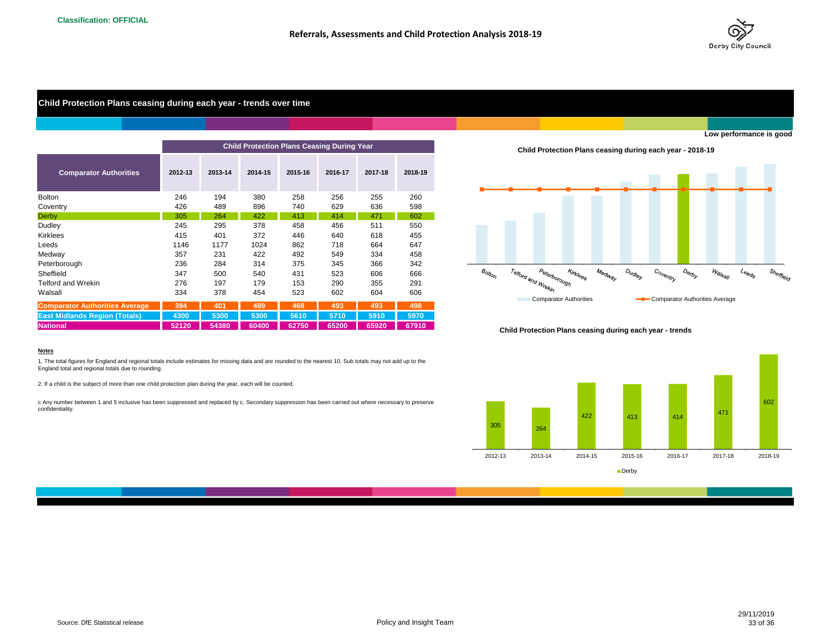

## **Child Protection Plans ceasing during each year - trends over time**

|                                       |         |         | <b>Child Protection Plans Ceasing During Year</b> |         |         |         |         |
|---------------------------------------|---------|---------|---------------------------------------------------|---------|---------|---------|---------|
| <b>Comparator Authorities</b>         | 2012-13 | 2013-14 | 2014-15                                           | 2015-16 | 2016-17 | 2017-18 | 2018-19 |
| <b>Bolton</b>                         | 246     | 194     | 380                                               | 258     | 256     | 255     | 260     |
| Coventry                              | 426     | 489     | 896                                               | 740     | 629     | 636     | 598     |
| <b>Derby</b>                          | 305     | 264     | 422                                               | 413     | 414     | 471     | 602     |
| Dudley                                | 245     | 295     | 378                                               | 458     | 456     | 511     | 550     |
| <b>Kirklees</b>                       | 415     | 401     | 372                                               | 446     | 640     | 618     | 455     |
| Leeds                                 | 1146    | 1177    | 1024                                              | 862     | 718     | 664     | 647     |
| Medway                                | 357     | 231     | 422                                               | 492     | 549     | 334     | 458     |
| Peterborough                          | 236     | 284     | 314                                               | 375     | 345     | 366     | 342     |
| Sheffield                             | 347     | 500     | 540                                               | 431     | 523     | 606     | 666     |
| <b>Telford and Wrekin</b>             | 276     | 197     | 179                                               | 153     | 290     | 355     | 291     |
| Walsall                               | 334     | 378     | 454                                               | 523     | 602     | 604     | 606     |
| <b>Comparator Authorities Average</b> | 394     | 401     | 489                                               | 468     | 493     | 493     | 498     |
| <b>East Midlands Region (Totals)</b>  | 4300    | 5300    | 5300                                              | 5610    | 5710    | 5910    | 5970    |
| <b>National</b>                       | 52120   | 54380   | 60400                                             | 62750   | 65200   | 65920   | 67910   |

**Child Protection Plans ceasing during each year - 2018-19**



#### **Child Protection Plans ceasing during each year - trends**



#### **Notes**

1. The total figures for England and regional totals include estimates for missing data and are rounded to the nearest 10. Sub totals may not add up to the England total and regional totals due to rounding.

2. If a child is the subject of more than one child protection plan during the year, each will be counted.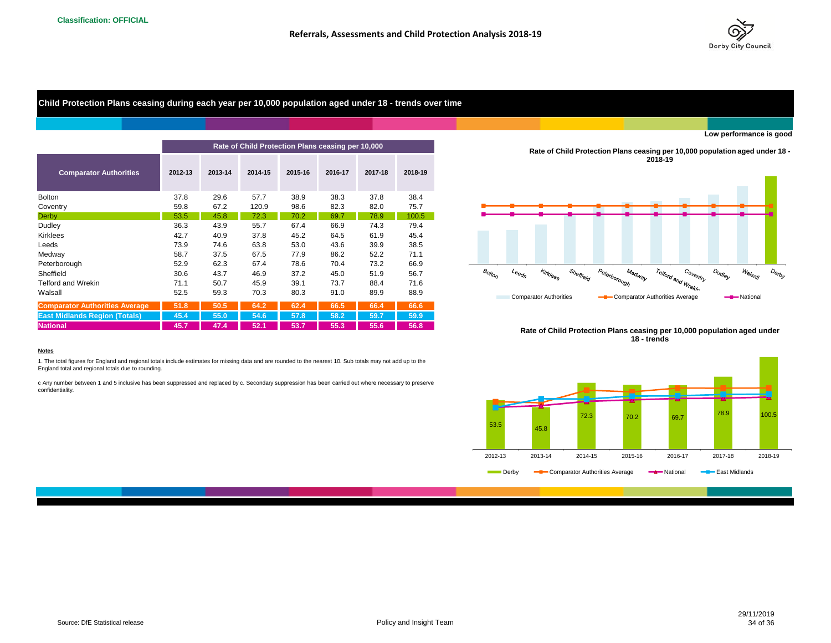

**Child Protection Plans ceasing during each year per 10,000 population aged under 18 - trends over time**

|                                       |         |         | Rate of Child Protection Plans ceasing per 10,000 |         |         |         |         | <b>Rate of Child Protection Plans ceasi</b>                                                                                              |
|---------------------------------------|---------|---------|---------------------------------------------------|---------|---------|---------|---------|------------------------------------------------------------------------------------------------------------------------------------------|
| <b>Comparator Authorities</b>         | 2012-13 | 2013-14 | 2014-15                                           | 2015-16 | 2016-17 | 2017-18 | 2018-19 | 21                                                                                                                                       |
| <b>Bolton</b>                         | 37.8    | 29.6    | 57.7                                              | 38.9    | 38.3    | 37.8    | 38.4    |                                                                                                                                          |
| Coventry                              | 59.8    | 67.2    | 120.9                                             | 98.6    | 82.3    | 82.0    | 75.7    |                                                                                                                                          |
| <b>Derby</b>                          | 53.5    | 45.8    | 72.3                                              | 70.2    | 69.7    | 78.9    | 100.5   |                                                                                                                                          |
| Dudley                                | 36.3    | 43.9    | 55.7                                              | 67.4    | 66.9    | 74.3    | 79.4    |                                                                                                                                          |
| <b>Kirklees</b>                       | 42.7    | 40.9    | 37.8                                              | 45.2    | 64.5    | 61.9    | 45.4    |                                                                                                                                          |
| Leeds                                 | 73.9    | 74.6    | 63.8                                              | 53.0    | 43.6    | 39.9    | 38.5    |                                                                                                                                          |
| Medway                                | 58.7    | 37.5    | 67.5                                              | 77.9    | 86.2    | 52.2    | 71.1    |                                                                                                                                          |
| Peterborough                          | 52.9    | 62.3    | 67.4                                              | 78.6    | 70.4    | 73.2    | 66.9    |                                                                                                                                          |
| Sheffield                             | 30.6    | 43.7    | 46.9                                              | 37.2    | 45.0    | 51.9    | 56.7    | Kirklees<br>Sheffield<br>Peterborough<br>$\mathcal{B}_{O/t_{O/\gamma}}$<br>Medway<br>$\iota_{\Theta \Theta_{\textit{Q}'_{\mathcal{S}}}}$ |
| <b>Telford and Wrekin</b>             | 71.1    | 50.7    | 45.9                                              | 39.1    | 73.7    | 88.4    | 71.6    |                                                                                                                                          |
| Walsall                               | 52.5    | 59.3    | 70.3                                              | 80.3    | 91.0    | 89.9    | 88.9    | <b>Comparator Authorities</b><br><b>-B</b> -Comparator Au                                                                                |
| <b>Comparator Authorities Average</b> | 51.8    | 50.5    | 64.2                                              | 62.4    | 66.5    | 66.4    | 66.6    |                                                                                                                                          |
| <b>East Midlands Region (Totals)</b>  | 45.4    | 55.0    | 54.6                                              | 57.8    | 58.2    | 59.7    | 59.9    |                                                                                                                                          |
| <b>National</b>                       | 45.7    | 47.4    | 52.1                                              | 53.7    | 55.3    | 55.6    | 56.8    | <b>Data of Child Protoction Plane googin</b>                                                                                             |

**Rate of Child Protection Plans ceasing per 10,000 population aged under 18 - 2018-19**









#### **Notes**

1. The total figures for England and regional totals include estimates for missing data and are rounded to the nearest 10. Sub totals may not add up to the England total and regional totals due to rounding.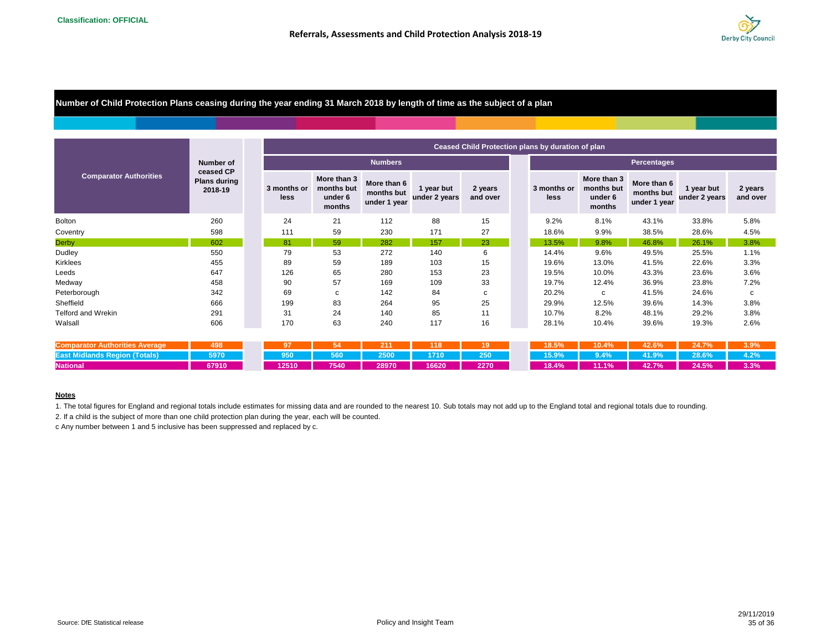

**Number of Child Protection Plans ceasing during the year ending 31 March 2018 by length of time as the subject of a plan**

|                                                                                                                                                                                                                                                              |                                                                 |                     | Ceased Child Protection plans by duration of plan |                                           |                             |                     |                    |                     |                                                |                                           |                             |                     |  |  |  |  |
|--------------------------------------------------------------------------------------------------------------------------------------------------------------------------------------------------------------------------------------------------------------|-----------------------------------------------------------------|---------------------|---------------------------------------------------|-------------------------------------------|-----------------------------|---------------------|--------------------|---------------------|------------------------------------------------|-------------------------------------------|-----------------------------|---------------------|--|--|--|--|
|                                                                                                                                                                                                                                                              | <b>Number of</b><br>ceased CP<br><b>Plans during</b><br>2018-19 |                     |                                                   | <b>Numbers</b>                            |                             |                     | <b>Percentages</b> |                     |                                                |                                           |                             |                     |  |  |  |  |
| <b>Comparator Authorities</b><br><b>Bolton</b><br>Coventry<br>Dudley<br>Kirklees<br>Leeds<br>Medway<br>Sheffield<br><b>Telford and Wrekin</b><br>Walsall<br><b>Comparator Authorities Average</b><br><b>East Midlands Region (Totals)</b><br><b>National</b> |                                                                 | 3 months or<br>less | More than 3<br>months but<br>under 6<br>months    | More than 6<br>months but<br>under 1 year | 1 year but<br>under 2 years | 2 years<br>and over |                    | 3 months or<br>less | More than 3<br>months but<br>under 6<br>months | More than 6<br>months but<br>under 1 year | 1 year but<br>under 2 years | 2 years<br>and over |  |  |  |  |
|                                                                                                                                                                                                                                                              | 260                                                             | 24                  | 21                                                | 112                                       | 88                          | 15                  |                    | 9.2%                | 8.1%                                           | 43.1%                                     | 33.8%                       | 5.8%                |  |  |  |  |
|                                                                                                                                                                                                                                                              | 598                                                             | 111                 | 59                                                | 230                                       | 171                         | 27                  |                    | 18.6%               | 9.9%                                           | 38.5%                                     | 28.6%                       | 4.5%                |  |  |  |  |
| <b>Derby</b>                                                                                                                                                                                                                                                 | 602                                                             | 81                  | 59                                                | 282                                       | 157                         | 23                  |                    | 13.5%               | 9.8%                                           | 46.8%                                     | 26.1%                       | 3.8%                |  |  |  |  |
|                                                                                                                                                                                                                                                              | 550                                                             | 79                  | 53                                                | 272                                       | 140                         | 6                   |                    | 14.4%               | 9.6%                                           | 49.5%                                     | 25.5%                       | 1.1%                |  |  |  |  |
|                                                                                                                                                                                                                                                              | 455                                                             | 89                  | 59                                                | 189                                       | 103                         | 15                  |                    | 19.6%               | 13.0%                                          | 41.5%                                     | 22.6%                       | 3.3%                |  |  |  |  |
|                                                                                                                                                                                                                                                              | 647                                                             | 126                 | 65                                                | 280                                       | 153                         | 23                  |                    | 19.5%               | 10.0%                                          | 43.3%                                     | 23.6%                       | 3.6%                |  |  |  |  |
|                                                                                                                                                                                                                                                              | 458                                                             | 90                  | 57                                                | 169                                       | 109                         | 33                  |                    | 19.7%               | 12.4%                                          | 36.9%                                     | 23.8%                       | 7.2%                |  |  |  |  |
| Peterborough                                                                                                                                                                                                                                                 | 342                                                             | 69                  | c                                                 | 142                                       | 84                          | C                   |                    | 20.2%               | c                                              | 41.5%                                     | 24.6%                       | c                   |  |  |  |  |
|                                                                                                                                                                                                                                                              | 666                                                             | 199                 | 83                                                | 264                                       | 95                          | 25                  |                    | 29.9%               | 12.5%                                          | 39.6%                                     | 14.3%                       | 3.8%                |  |  |  |  |
|                                                                                                                                                                                                                                                              | 291                                                             | 31                  | 24                                                | 140                                       | 85                          | 11                  |                    | 10.7%               | 8.2%                                           | 48.1%                                     | 29.2%                       | 3.8%                |  |  |  |  |
|                                                                                                                                                                                                                                                              | 606                                                             | 170                 | 63                                                | 240                                       | 117                         | 16                  |                    | 28.1%               | 10.4%                                          | 39.6%                                     | 19.3%                       | 2.6%                |  |  |  |  |
|                                                                                                                                                                                                                                                              |                                                                 |                     |                                                   |                                           |                             |                     |                    |                     |                                                |                                           |                             |                     |  |  |  |  |
|                                                                                                                                                                                                                                                              | 498<br>5970                                                     | 97<br>950           | 54<br>560                                         | 211<br>2500                               | 118<br>1710                 | 19<br>250           |                    | 18.5%<br>15.9%      | 10.4%                                          | 42.6%                                     | 24.7%                       | 3.9%<br>4.2%        |  |  |  |  |
|                                                                                                                                                                                                                                                              |                                                                 |                     |                                                   |                                           |                             |                     |                    |                     | 9.4%                                           | 41.9%                                     | 28.6%                       |                     |  |  |  |  |
|                                                                                                                                                                                                                                                              | 67910                                                           | 12510               | 7540                                              | 28970                                     | 16620                       | 2270                |                    | 18.4%               | 11.1%                                          | 42.7%                                     | 24.5%                       | 3.3%                |  |  |  |  |

#### **Notes**

1. The total figures for England and regional totals include estimates for missing data and are rounded to the nearest 10. Sub totals may not add up to the England total and regional totals due to rounding.

2. If a child is the subject of more than one child protection plan during the year, each will be counted.